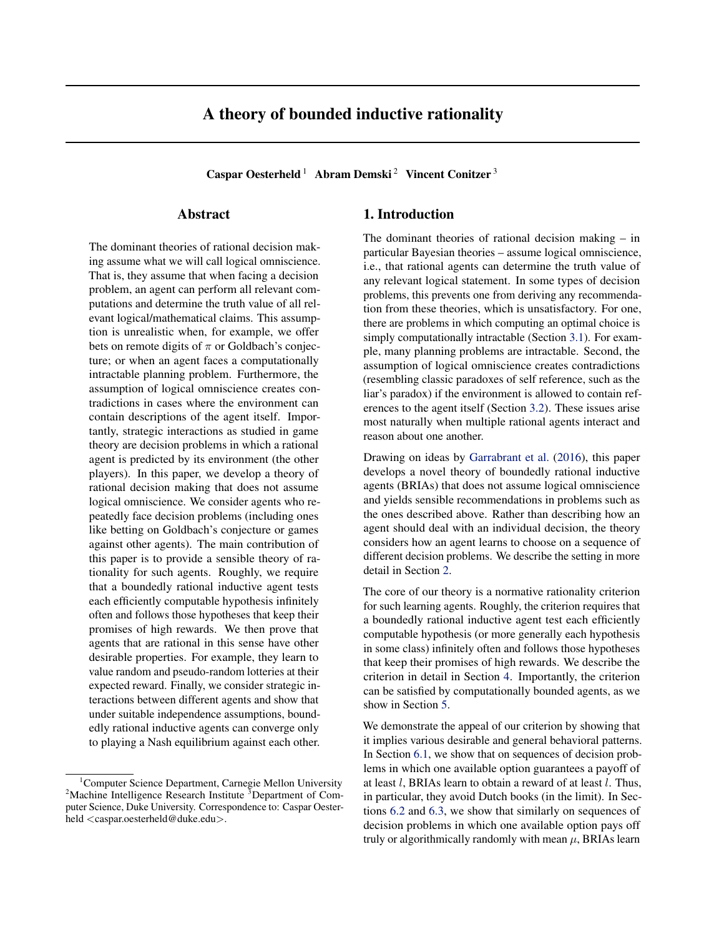# A theory of bounded inductive rationality

Caspar Oesterheld <sup>1</sup> Abram Demski<sup>2</sup> Vincent Conitzer<sup>3</sup>

## Abstract

The dominant theories of rational decision making assume what we will call logical omniscience. That is, they assume that when facing a decision problem, an agent can perform all relevant computations and determine the truth value of all relevant logical/mathematical claims. This assumption is unrealistic when, for example, we offer bets on remote digits of  $\pi$  or Goldbach's conjecture; or when an agent faces a computationally intractable planning problem. Furthermore, the assumption of logical omniscience creates contradictions in cases where the environment can contain descriptions of the agent itself. Importantly, strategic interactions as studied in game theory are decision problems in which a rational agent is predicted by its environment (the other players). In this paper, we develop a theory of rational decision making that does not assume logical omniscience. We consider agents who repeatedly face decision problems (including ones like betting on Goldbach's conjecture or games against other agents). The main contribution of this paper is to provide a sensible theory of rationality for such agents. Roughly, we require that a boundedly rational inductive agent tests each efficiently computable hypothesis infinitely often and follows those hypotheses that keep their promises of high rewards. We then prove that agents that are rational in this sense have other desirable properties. For example, they learn to value random and pseudo-random lotteries at their expected reward. Finally, we consider strategic interactions between different agents and show that under suitable independence assumptions, boundedly rational inductive agents can converge only to playing a Nash equilibrium against each other.

## 1. Introduction

The dominant theories of rational decision making – in particular Bayesian theories – assume logical omniscience, i.e., that rational agents can determine the truth value of any relevant logical statement. In some types of decision problems, this prevents one from deriving any recommendation from these theories, which is unsatisfactory. For one, there are problems in which computing an optimal choice is simply computationally intractable (Section [3.1\)](#page-1-0). For example, many planning problems are intractable. Second, the assumption of logical omniscience creates contradictions (resembling classic paradoxes of self reference, such as the liar's paradox) if the environment is allowed to contain references to the agent itself (Section [3.2\)](#page-2-0). These issues arise most naturally when multiple rational agents interact and reason about one another.

Drawing on ideas by [Garrabrant et al.](#page-8-0) [\(2016\)](#page-8-0), this paper develops a novel theory of boundedly rational inductive agents (BRIAs) that does not assume logical omniscience and yields sensible recommendations in problems such as the ones described above. Rather than describing how an agent should deal with an individual decision, the theory considers how an agent learns to choose on a sequence of different decision problems. We describe the setting in more detail in Section [2.](#page-1-1)

The core of our theory is a normative rationality criterion for such learning agents. Roughly, the criterion requires that a boundedly rational inductive agent test each efficiently computable hypothesis (or more generally each hypothesis in some class) infinitely often and follows those hypotheses that keep their promises of high rewards. We describe the criterion in detail in Section [4.](#page-2-1) Importantly, the criterion can be satisfied by computationally bounded agents, as we show in Section [5.](#page-4-0)

We demonstrate the appeal of our criterion by showing that it implies various desirable and general behavioral patterns. In Section [6.1,](#page-5-0) we show that on sequences of decision problems in which one available option guarantees a payoff of at least  $l$ , BRIAs learn to obtain a reward of at least  $l$ . Thus, in particular, they avoid Dutch books (in the limit). In Sections [6.2](#page-5-1) and [6.3,](#page-5-2) we show that similarly on sequences of decision problems in which one available option pays off truly or algorithmically randomly with mean  $\mu$ , BRIAs learn

<sup>&</sup>lt;sup>1</sup>Computer Science Department, Carnegie Mellon University  $2^2$ Machine Intelligence Research Institute  $3$ Department of Computer Science, Duke University. Correspondence to: Caspar Oesterheld <caspar.oesterheld@duke.edu>.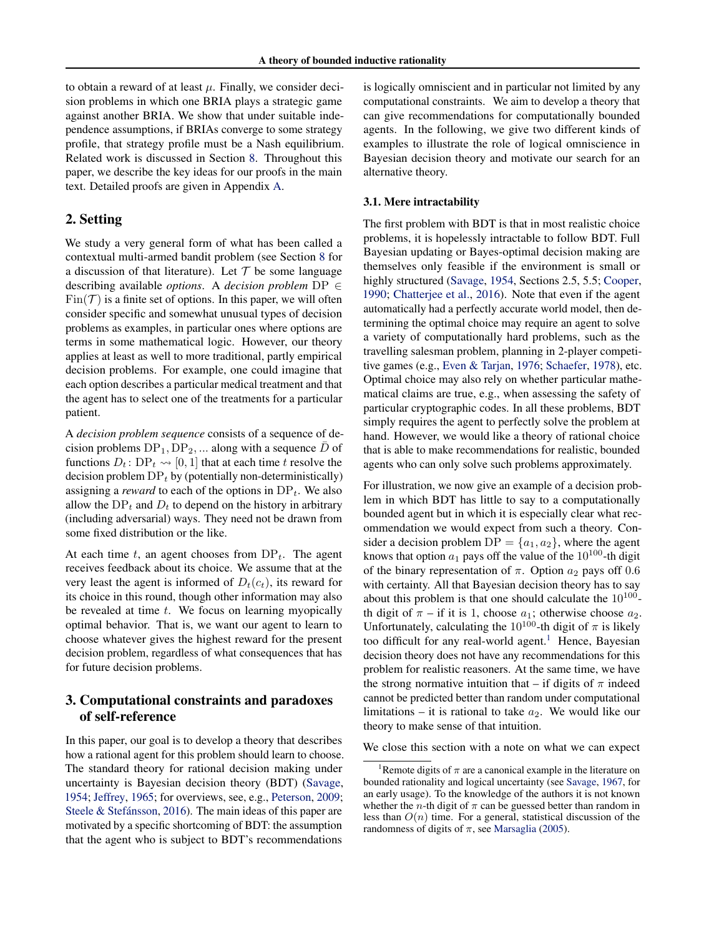to obtain a reward of at least  $\mu$ . Finally, we consider decision problems in which one BRIA plays a strategic game against another BRIA. We show that under suitable independence assumptions, if BRIAs converge to some strategy profile, that strategy profile must be a Nash equilibrium. Related work is discussed in Section [8.](#page-6-0) Throughout this paper, we describe the key ideas for our proofs in the main text. Detailed proofs are given in Appendix [A.](#page-10-0)

## <span id="page-1-1"></span>2. Setting

We study a very general form of what has been called a contextual multi-armed bandit problem (see Section [8](#page-6-0) for a discussion of that literature). Let  $T$  be some language describing available *options*. A *decision problem* DP ∈  $Fin(\mathcal{T})$  is a finite set of options. In this paper, we will often consider specific and somewhat unusual types of decision problems as examples, in particular ones where options are terms in some mathematical logic. However, our theory applies at least as well to more traditional, partly empirical decision problems. For example, one could imagine that each option describes a particular medical treatment and that the agent has to select one of the treatments for a particular patient.

A *decision problem sequence* consists of a sequence of decision problems  $DP_1, DP_2, \dots$  along with a sequence  $\overline{D}$  of functions  $D_t$ :  $DP_t \rightarrow [0, 1]$  that at each time t resolve the decision problem  $DP<sub>t</sub>$  by (potentially non-deterministically) assigning a *reward* to each of the options in  $DP_t$ . We also allow the  $DP<sub>t</sub>$  and  $D<sub>t</sub>$  to depend on the history in arbitrary (including adversarial) ways. They need not be drawn from some fixed distribution or the like.

At each time t, an agent chooses from  $DP_t$ . The agent receives feedback about its choice. We assume that at the very least the agent is informed of  $D_t(c_t)$ , its reward for its choice in this round, though other information may also be revealed at time  $t$ . We focus on learning myopically optimal behavior. That is, we want our agent to learn to choose whatever gives the highest reward for the present decision problem, regardless of what consequences that has for future decision problems.

## <span id="page-1-3"></span>3. Computational constraints and paradoxes of self-reference

In this paper, our goal is to develop a theory that describes how a rational agent for this problem should learn to choose. The standard theory for rational decision making under uncertainty is Bayesian decision theory (BDT) [\(Savage,](#page-9-0) [1954;](#page-9-0) [Jeffrey,](#page-8-1) [1965;](#page-8-1) for overviews, see, e.g., [Peterson,](#page-9-1) [2009;](#page-9-1) Steele  $&$  Stefánsson, [2016\)](#page-9-2). The main ideas of this paper are motivated by a specific shortcoming of BDT: the assumption that the agent who is subject to BDT's recommendations

is logically omniscient and in particular not limited by any computational constraints. We aim to develop a theory that can give recommendations for computationally bounded agents. In the following, we give two different kinds of examples to illustrate the role of logical omniscience in Bayesian decision theory and motivate our search for an alternative theory.

#### <span id="page-1-0"></span>3.1. Mere intractability

The first problem with BDT is that in most realistic choice problems, it is hopelessly intractable to follow BDT. Full Bayesian updating or Bayes-optimal decision making are themselves only feasible if the environment is small or highly structured [\(Savage,](#page-9-0) [1954,](#page-9-0) Sections 2.5, 5.5; [Cooper,](#page-8-2) [1990;](#page-8-2) [Chatterjee et al.,](#page-8-3) [2016\)](#page-8-3). Note that even if the agent automatically had a perfectly accurate world model, then determining the optimal choice may require an agent to solve a variety of computationally hard problems, such as the travelling salesman problem, planning in 2-player competitive games (e.g., [Even & Tarjan,](#page-8-4) [1976;](#page-8-4) [Schaefer,](#page-9-3) [1978\)](#page-9-3), etc. Optimal choice may also rely on whether particular mathematical claims are true, e.g., when assessing the safety of particular cryptographic codes. In all these problems, BDT simply requires the agent to perfectly solve the problem at hand. However, we would like a theory of rational choice that is able to make recommendations for realistic, bounded agents who can only solve such problems approximately.

For illustration, we now give an example of a decision problem in which BDT has little to say to a computationally bounded agent but in which it is especially clear what recommendation we would expect from such a theory. Consider a decision problem  $DP = \{a_1, a_2\}$ , where the agent knows that option  $a_1$  pays off the value of the 10<sup>100</sup>-th digit of the binary representation of  $\pi$ . Option  $a_2$  pays off 0.6 with certainty. All that Bayesian decision theory has to say about this problem is that one should calculate the  $10^{100}$ th digit of  $\pi$  – if it is 1, choose  $a_1$ ; otherwise choose  $a_2$ . Unfortunately, calculating the  $10^{100}$ -th digit of  $\pi$  is likely too difficult for any real-world agent.<sup>[1](#page-1-2)</sup> Hence, Bayesian decision theory does not have any recommendations for this problem for realistic reasoners. At the same time, we have the strong normative intuition that – if digits of  $\pi$  indeed cannot be predicted better than random under computational limitations – it is rational to take  $a_2$ . We would like our theory to make sense of that intuition.

We close this section with a note on what we can expect

<span id="page-1-2"></span><sup>&</sup>lt;sup>1</sup>Remote digits of  $\pi$  are a canonical example in the literature on bounded rationality and logical uncertainty (see [Savage,](#page-9-4) [1967,](#page-9-4) for an early usage). To the knowledge of the authors it is not known whether the *n*-th digit of  $\pi$  can be guessed better than random in less than  $O(n)$  time. For a general, statistical discussion of the randomness of digits of  $\pi$ , see [Marsaglia](#page-8-5) [\(2005\)](#page-8-5).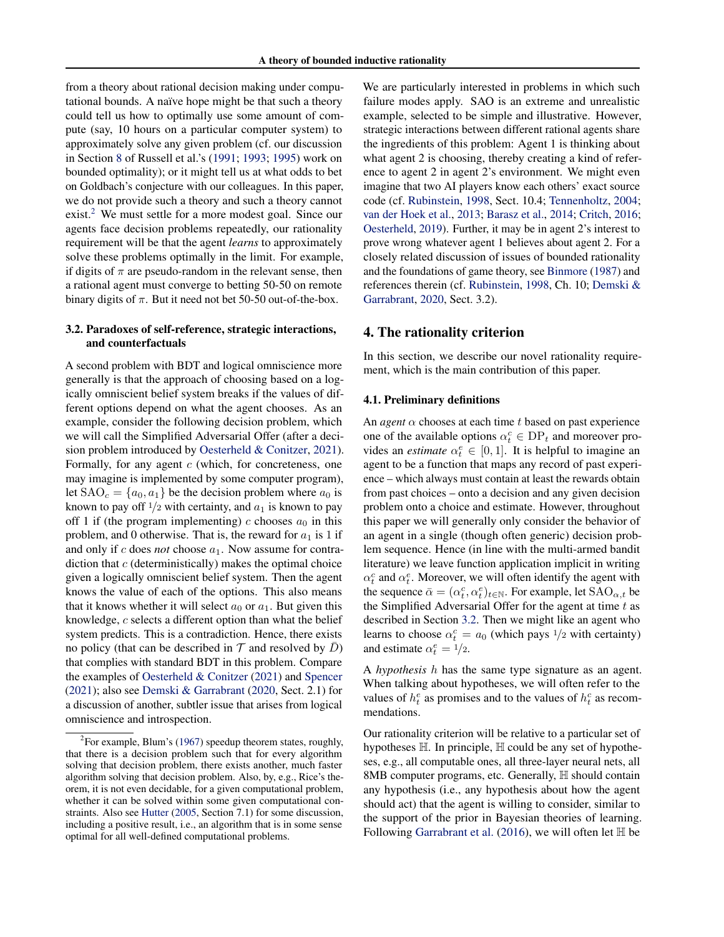from a theory about rational decision making under computational bounds. A naïve hope might be that such a theory could tell us how to optimally use some amount of compute (say, 10 hours on a particular computer system) to approximately solve any given problem (cf. our discussion in Section [8](#page-6-0) of Russell et al.'s [\(1991;](#page-9-5) [1993;](#page-9-6) [1995\)](#page-9-7) work on bounded optimality); or it might tell us at what odds to bet on Goldbach's conjecture with our colleagues. In this paper, we do not provide such a theory and such a theory cannot exist.<sup>[2](#page-2-2)</sup> We must settle for a more modest goal. Since our agents face decision problems repeatedly, our rationality requirement will be that the agent *learns* to approximately solve these problems optimally in the limit. For example, if digits of  $\pi$  are pseudo-random in the relevant sense, then a rational agent must converge to betting 50-50 on remote binary digits of  $\pi$ . But it need not bet 50-50 out-of-the-box.

### <span id="page-2-0"></span>3.2. Paradoxes of self-reference, strategic interactions, and counterfactuals

A second problem with BDT and logical omniscience more generally is that the approach of choosing based on a logically omniscient belief system breaks if the values of different options depend on what the agent chooses. As an example, consider the following decision problem, which we will call the Simplified Adversarial Offer (after a decision problem introduced by [Oesterheld & Conitzer,](#page-9-8) [2021\)](#page-9-8). Formally, for any agent  $c$  (which, for concreteness, one may imagine is implemented by some computer program), let  $SAO<sub>c</sub> = {a<sub>0</sub>, a<sub>1</sub>}$  be the decision problem where  $a<sub>0</sub>$  is known to pay off  $1/2$  with certainty, and  $a_1$  is known to pay off 1 if (the program implementing) c chooses  $a_0$  in this problem, and 0 otherwise. That is, the reward for  $a_1$  is 1 if and only if  $c$  does *not* choose  $a_1$ . Now assume for contradiction that  $c$  (deterministically) makes the optimal choice given a logically omniscient belief system. Then the agent knows the value of each of the options. This also means that it knows whether it will select  $a_0$  or  $a_1$ . But given this knowledge, c selects a different option than what the belief system predicts. This is a contradiction. Hence, there exists no policy (that can be described in  $\mathcal T$  and resolved by  $D$ ) that complies with standard BDT in this problem. Compare the examples of [Oesterheld & Conitzer](#page-9-8) [\(2021\)](#page-9-8) and [Spencer](#page-9-9) [\(2021\)](#page-9-9); also see [Demski & Garrabrant](#page-8-6) [\(2020,](#page-8-6) Sect. 2.1) for a discussion of another, subtler issue that arises from logical omniscience and introspection.

We are particularly interested in problems in which such failure modes apply. SAO is an extreme and unrealistic example, selected to be simple and illustrative. However, strategic interactions between different rational agents share the ingredients of this problem: Agent 1 is thinking about what agent 2 is choosing, thereby creating a kind of reference to agent 2 in agent 2's environment. We might even imagine that two AI players know each others' exact source code (cf. [Rubinstein,](#page-9-10) [1998,](#page-9-10) Sect. 10.4; [Tennenholtz,](#page-9-11) [2004;](#page-9-11) [van der Hoek et al.,](#page-9-12) [2013;](#page-9-12) [Barasz et al.,](#page-8-9) [2014;](#page-8-9) [Critch,](#page-8-10) [2016;](#page-8-10) [Oesterheld,](#page-8-11) [2019\)](#page-8-11). Further, it may be in agent 2's interest to prove wrong whatever agent 1 believes about agent 2. For a closely related discussion of issues of bounded rationality and the foundations of game theory, see [Binmore](#page-8-12) [\(1987\)](#page-8-12) and references therein (cf. [Rubinstein,](#page-9-10) [1998,](#page-9-10) Ch. 10; [Demski &](#page-8-6) [Garrabrant,](#page-8-6) [2020,](#page-8-6) Sect. 3.2).

## <span id="page-2-1"></span>4. The rationality criterion

In this section, we describe our novel rationality requirement, which is the main contribution of this paper.

#### 4.1. Preliminary definitions

An *agent*  $\alpha$  chooses at each time t based on past experience one of the available options  $\alpha_t^c \in DP_t$  and moreover provides an *estimate*  $\alpha_t^e \in [0, 1]$ . It is helpful to imagine an agent to be a function that maps any record of past experience – which always must contain at least the rewards obtain from past choices – onto a decision and any given decision problem onto a choice and estimate. However, throughout this paper we will generally only consider the behavior of an agent in a single (though often generic) decision problem sequence. Hence (in line with the multi-armed bandit literature) we leave function application implicit in writing  $\alpha_t^c$  and  $\alpha_t^e$ . Moreover, we will often identify the agent with the sequence  $\bar{\alpha} = (\alpha_t^c, \alpha_t^e)_{t \in \mathbb{N}}$ . For example, let  $\text{SAO}_{\alpha, t}$  be the Simplified Adversarial Offer for the agent at time  $t$  as described in Section [3.2.](#page-2-0) Then we might like an agent who learns to choose  $\alpha_t^c = a_0$  (which pays  $\frac{1}{2}$  with certainty) and estimate  $\alpha_t^e = 1/2$ .

A *hypothesis* h has the same type signature as an agent. When talking about hypotheses, we will often refer to the values of  $h_t^e$  as promises and to the values of  $h_t^c$  as recommendations.

Our rationality criterion will be relative to a particular set of hypotheses H. In principle, H could be any set of hypotheses, e.g., all computable ones, all three-layer neural nets, all 8MB computer programs, etc. Generally,  $\mathbb H$  should contain any hypothesis (i.e., any hypothesis about how the agent should act) that the agent is willing to consider, similar to the support of the prior in Bayesian theories of learning. Following [Garrabrant et al.](#page-8-0) [\(2016\)](#page-8-0), we will often let H be

<span id="page-2-2"></span> ${}^{2}$ For example, Blum's [\(1967\)](#page-8-7) speedup theorem states, roughly, that there is a decision problem such that for every algorithm solving that decision problem, there exists another, much faster algorithm solving that decision problem. Also, by, e.g., Rice's theorem, it is not even decidable, for a given computational problem, whether it can be solved within some given computational constraints. Also see [Hutter](#page-8-8) [\(2005,](#page-8-8) Section 7.1) for some discussion, including a positive result, i.e., an algorithm that is in some sense optimal for all well-defined computational problems.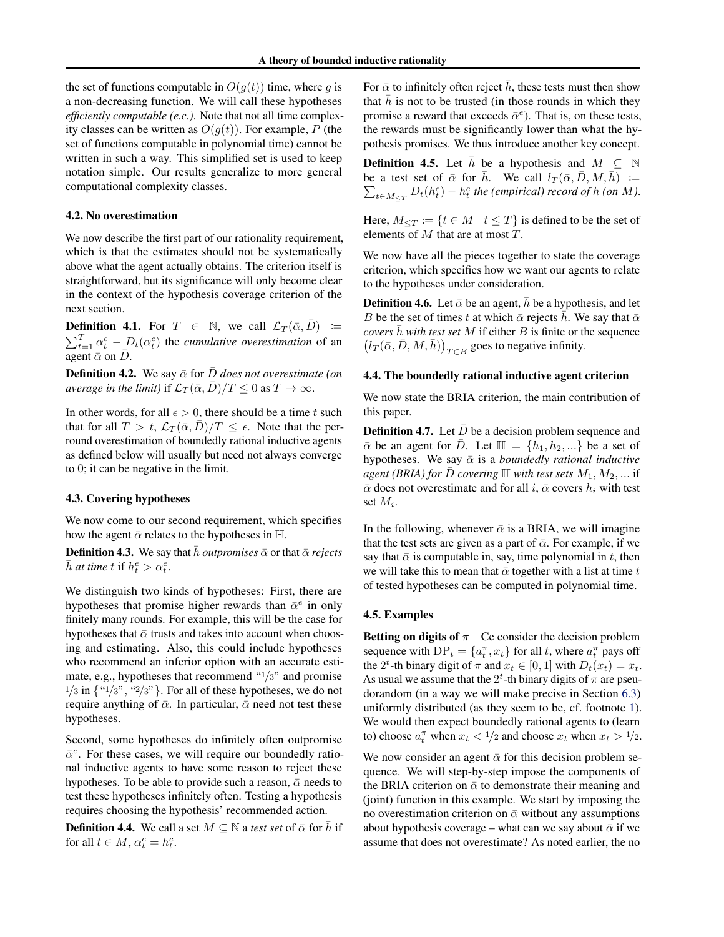the set of functions computable in  $O(q(t))$  time, where g is a non-decreasing function. We will call these hypotheses *efficiently computable (e.c.)*. Note that not all time complexity classes can be written as  $O(g(t))$ . For example, P (the set of functions computable in polynomial time) cannot be written in such a way. This simplified set is used to keep notation simple. Our results generalize to more general computational complexity classes.

#### 4.2. No overestimation

We now describe the first part of our rationality requirement, which is that the estimates should not be systematically above what the agent actually obtains. The criterion itself is straightforward, but its significance will only become clear in the context of the hypothesis coverage criterion of the next section.

**Definition 4.1.** For  $T \in \mathbb{N}$ , we call  $\mathcal{L}_T(\bar{\alpha}, \bar{D}) :=$  $\sum_{t=1}^{T} \alpha_t^e - L(t) \alpha_t^e$  the *cumulative overestimation* of an agent  $\bar{\alpha}$  on  $\bar{D}$ .

**Definition 4.2.** We say  $\bar{\alpha}$  for  $\bar{D}$  *does not overestimate (on average in the limit)* if  $\mathcal{L}_T(\bar{\alpha}, \bar{D})/T \leq 0$  as  $T \to \infty$ .

In other words, for all  $\epsilon > 0$ , there should be a time t such that for all  $T > t$ ,  $\mathcal{L}_T(\bar{\alpha}, \bar{D})/T \leq \epsilon$ . Note that the perround overestimation of boundedly rational inductive agents as defined below will usually but need not always converge to 0; it can be negative in the limit.

#### 4.3. Covering hypotheses

We now come to our second requirement, which specifies how the agent  $\bar{\alpha}$  relates to the hypotheses in H.

**Definition 4.3.** We say that  $\bar{h}$  *outpromises*  $\bar{\alpha}$  or that  $\bar{\alpha}$  *rejects*  $\bar{h}$  *at time*  $t$  if  $h_t^e > \alpha_t^e$ .

We distinguish two kinds of hypotheses: First, there are hypotheses that promise higher rewards than  $\bar{\alpha}^e$  in only finitely many rounds. For example, this will be the case for hypotheses that  $\bar{\alpha}$  trusts and takes into account when choosing and estimating. Also, this could include hypotheses who recommend an inferior option with an accurate estimate, e.g., hypotheses that recommend "1/3" and promise  $1/3$  in  $\{$  " $1/3$ ", " $2/3$ " }. For all of these hypotheses, we do not require anything of  $\bar{\alpha}$ . In particular,  $\bar{\alpha}$  need not test these hypotheses.

Second, some hypotheses do infinitely often outpromise  $\bar{\alpha}^e$ . For these cases, we will require our boundedly rational inductive agents to have some reason to reject these hypotheses. To be able to provide such a reason,  $\bar{\alpha}$  needs to test these hypotheses infinitely often. Testing a hypothesis requires choosing the hypothesis' recommended action.

<span id="page-3-0"></span>**Definition 4.4.** We call a set  $M \subseteq \mathbb{N}$  a *test set* of  $\bar{\alpha}$  for  $\bar{h}$  if for all  $t \in M$ ,  $\alpha_t^c = h_t^c$ .

For  $\bar{\alpha}$  to infinitely often reject  $\bar{h}$ , these tests must then show that  $h$  is not to be trusted (in those rounds in which they promise a reward that exceeds  $\bar{\alpha}^e$ ). That is, on these tests, the rewards must be significantly lower than what the hypothesis promises. We thus introduce another key concept.

**Definition 4.5.** Let  $\bar{h}$  be a hypothesis and  $M \subseteq \mathbb{N}$ be a test set of  $\bar{\alpha}$  for  $\bar{h}$ . We call  $l_T(\bar{\alpha}, \bar{D}, M, \bar{h})$  :=  $\sum_{t \in M_{\leq T}} D_t(h_t^c) - h_t^e$  the (empirical) record of h (on M).

Here,  $M_{\leq T} \coloneqq \{t \in M \mid t \leq T\}$  is defined to be the set of elements of M that are at most T.

We now have all the pieces together to state the coverage criterion, which specifies how we want our agents to relate to the hypotheses under consideration.

**Definition 4.6.** Let  $\bar{\alpha}$  be an agent,  $\bar{h}$  be a hypothesis, and let B be the set of times t at which  $\bar{\alpha}$  rejects  $\bar{h}$ . We say that  $\bar{\alpha}$ *covers*  $\bar{h}$  *with test set* M if either B is finite or the sequence  $(l_T(\bar{\alpha}, \bar{D}, M, \bar{h}))_{T \in B}$  goes to negative infinity.

#### 4.4. The boundedly rational inductive agent criterion

We now state the BRIA criterion, the main contribution of this paper.

**Definition 4.7.** Let  $\bar{D}$  be a decision problem sequence and  $\bar{\alpha}$  be an agent for  $\bar{D}$ . Let  $\mathbb{H} = \{h_1, h_2, ...\}$  be a set of hypotheses. We say  $\bar{\alpha}$  is a *boundedly rational inductive agent (BRIA) for*  $\bar{D}$  *covering*  $\mathbb{H}$  *with test sets*  $M_1, M_2, ...$  if  $\bar{\alpha}$  does not overestimate and for all i,  $\bar{\alpha}$  covers  $h_i$  with test set  $M_i$ .

In the following, whenever  $\bar{\alpha}$  is a BRIA, we will imagine that the test sets are given as a part of  $\bar{\alpha}$ . For example, if we say that  $\bar{\alpha}$  is computable in, say, time polynomial in t, then we will take this to mean that  $\bar{\alpha}$  together with a list at time t of tested hypotheses can be computed in polynomial time.

#### 4.5. Examples

Betting on digits of  $\pi$  Ce consider the decision problem sequence with  $DP_t = \{a_t^{\pi}, x_t\}$  for all t, where  $a_t^{\pi}$  pays off the 2<sup>t</sup>-th binary digit of  $\pi$  and  $x_t \in [0, 1]$  with  $D_t(x_t) = x_t$ . As usual we assume that the  $2^t$ -th binary digits of  $\pi$  are pseudorandom (in a way we will make precise in Section [6.3\)](#page-5-2) uniformly distributed (as they seem to be, cf. footnote [1\)](#page-1-2). We would then expect boundedly rational agents to (learn to) choose  $a_t^{\pi}$  when  $x_t < 1/2$  and choose  $x_t$  when  $x_t > 1/2$ .

We now consider an agent  $\bar{\alpha}$  for this decision problem sequence. We will step-by-step impose the components of the BRIA criterion on  $\bar{\alpha}$  to demonstrate their meaning and (joint) function in this example. We start by imposing the no overestimation criterion on  $\bar{\alpha}$  without any assumptions about hypothesis coverage – what can we say about  $\bar{\alpha}$  if we assume that does not overestimate? As noted earlier, the no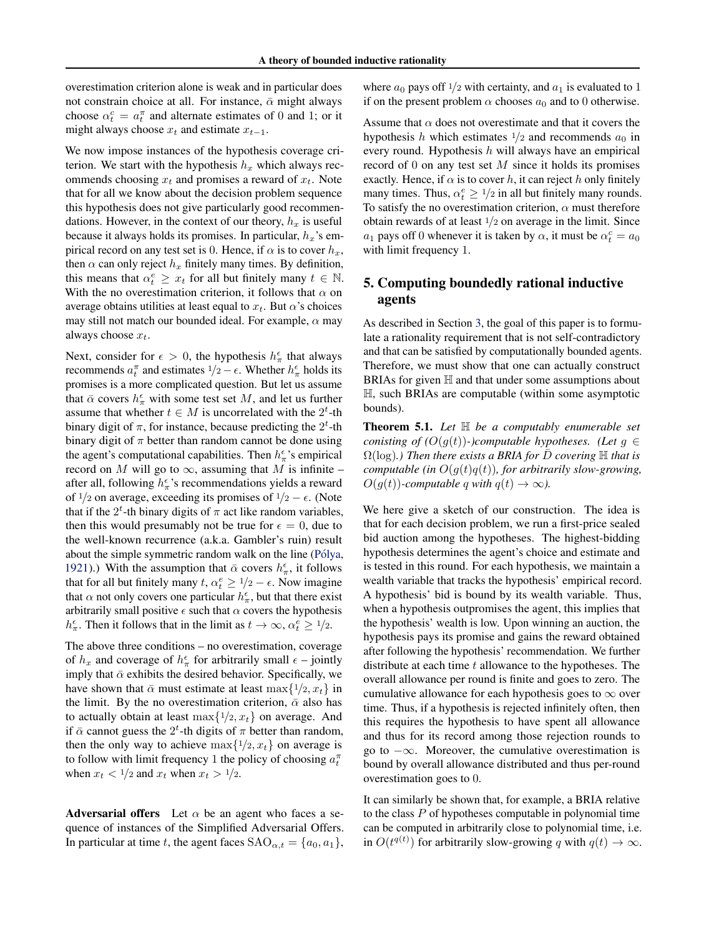overestimation criterion alone is weak and in particular does not constrain choice at all. For instance,  $\bar{\alpha}$  might always choose  $\alpha_t^c = a_t^{\pi}$  and alternate estimates of 0 and 1; or it might always choose  $x_t$  and estimate  $x_{t-1}$ .

We now impose instances of the hypothesis coverage criterion. We start with the hypothesis  $h<sub>x</sub>$  which always recommends choosing  $x_t$  and promises a reward of  $x_t$ . Note that for all we know about the decision problem sequence this hypothesis does not give particularly good recommendations. However, in the context of our theory,  $h_x$  is useful because it always holds its promises. In particular,  $h_x$ 's empirical record on any test set is 0. Hence, if  $\alpha$  is to cover  $h_x$ , then  $\alpha$  can only reject  $h_x$  finitely many times. By definition, this means that  $\alpha_t^e \geq x_t$  for all but finitely many  $t \in \mathbb{N}$ . With the no overestimation criterion, it follows that  $\alpha$  on average obtains utilities at least equal to  $x_t$ . But  $\alpha$ 's choices may still not match our bounded ideal. For example,  $\alpha$  may always choose  $x_t$ .

Next, consider for  $\epsilon > 0$ , the hypothesis  $h_{\pi}^{\epsilon}$  that always recommends  $a_t^{\pi}$  and estimates  $1/2 - \epsilon$ . Whether  $h_{\pi}^{\epsilon}$  holds its promises is a more complicated question. But let us assume that  $\bar{\alpha}$  covers  $h_{\pi}^{\epsilon}$  with some test set M, and let us further assume that whether  $t \in M$  is uncorrelated with the  $2^t$ -th binary digit of  $\pi$ , for instance, because predicting the  $2^t$ -th binary digit of  $\pi$  better than random cannot be done using the agent's computational capabilities. Then  $h_{\pi}^{\epsilon}$ 's empirical record on M will go to  $\infty$ , assuming that M is infinite – after all, following  $h_{\pi}^{\epsilon}$ 's recommendations yields a reward of  $\frac{1}{2}$  on average, exceeding its promises of  $\frac{1}{2} - \epsilon$ . (Note that if the  $2^t$ -th binary digits of  $\pi$  act like random variables, then this would presumably not be true for  $\epsilon = 0$ , due to the well-known recurrence (a.k.a. Gambler's ruin) result about the simple symmetric random walk on the line (Pólya, [1921\)](#page-9-13).) With the assumption that  $\bar{\alpha}$  covers  $h_{\pi}^{\epsilon}$ , it follows that for all but finitely many  $t, \alpha_t^e \geq 1/2 - \epsilon$ . Now imagine that  $\alpha$  not only covers one particular  $h_{\pi}^{\epsilon}$ , but that there exist arbitrarily small positive  $\epsilon$  such that  $\alpha$  covers the hypothesis  $h_{\pi}^{\epsilon}$ . Then it follows that in the limit as  $t \to \infty$ ,  $\alpha_t^{\epsilon} \ge 1/2$ .

The above three conditions – no overestimation, coverage of  $h_x$  and coverage of  $h_\pi^{\epsilon}$  for arbitrarily small  $\epsilon$  – jointly imply that  $\bar{\alpha}$  exhibits the desired behavior. Specifically, we have shown that  $\bar{\alpha}$  must estimate at least max $\{1/2, x_t\}$  in the limit. By the no overestimation criterion,  $\bar{\alpha}$  also has to actually obtain at least  $\max\{1/2, x_t\}$  on average. And if  $\bar{\alpha}$  cannot guess the  $2^t$ -th digits of  $\pi$  better than random, then the only way to achieve  $\max\{1/2, x_t\}$  on average is to follow with limit frequency 1 the policy of choosing  $a_t^{\pi}$ when  $x_t < 1/2$  and  $x_t$  when  $x_t > 1/2$ .

Adversarial offers Let  $\alpha$  be an agent who faces a sequence of instances of the Simplified Adversarial Offers. In particular at time t, the agent faces  $SAO_{\alpha,t} = \{a_0, a_1\},\$  where  $a_0$  pays off  $1/2$  with certainty, and  $a_1$  is evaluated to 1 if on the present problem  $\alpha$  chooses  $a_0$  and to 0 otherwise.

Assume that  $\alpha$  does not overestimate and that it covers the hypothesis h which estimates  $1/2$  and recommends  $a_0$  in every round. Hypothesis  $h$  will always have an empirical record of 0 on any test set  $M$  since it holds its promises exactly. Hence, if  $\alpha$  is to cover h, it can reject h only finitely many times. Thus,  $\alpha_t^e \geq 1/2$  in all but finitely many rounds. To satisfy the no overestimation criterion,  $\alpha$  must therefore obtain rewards of at least  $\frac{1}{2}$  on average in the limit. Since  $a_1$  pays off 0 whenever it is taken by  $\alpha$ , it must be  $\alpha_t^c = a_0$ with limit frequency 1.

## <span id="page-4-0"></span>5. Computing boundedly rational inductive agents

As described in Section [3,](#page-1-3) the goal of this paper is to formulate a rationality requirement that is not self-contradictory and that can be satisfied by computationally bounded agents. Therefore, we must show that one can actually construct BRIAs for given  $H$  and that under some assumptions about H, such BRIAs are computable (within some asymptotic bounds).

<span id="page-4-1"></span>Theorem 5.1. *Let* H *be a computably enumerable set conisting of (O(g(t))*-*)computable hypotheses. (Let g ∈*  $\Omega(\log)$ *.) Then there exists a BRIA for D covering* H *that is computable (in*  $O(g(t)q(t))$ *, for arbitrarily slow-growing,*  $O(q(t))$ -computable q with  $q(t) \rightarrow \infty$ ).

We here give a sketch of our construction. The idea is that for each decision problem, we run a first-price sealed bid auction among the hypotheses. The highest-bidding hypothesis determines the agent's choice and estimate and is tested in this round. For each hypothesis, we maintain a wealth variable that tracks the hypothesis' empirical record. A hypothesis' bid is bound by its wealth variable. Thus, when a hypothesis outpromises the agent, this implies that the hypothesis' wealth is low. Upon winning an auction, the hypothesis pays its promise and gains the reward obtained after following the hypothesis' recommendation. We further distribute at each time t allowance to the hypotheses. The overall allowance per round is finite and goes to zero. The cumulative allowance for each hypothesis goes to  $\infty$  over time. Thus, if a hypothesis is rejected infinitely often, then this requires the hypothesis to have spent all allowance and thus for its record among those rejection rounds to go to  $-\infty$ . Moreover, the cumulative overestimation is bound by overall allowance distributed and thus per-round overestimation goes to 0.

It can similarly be shown that, for example, a BRIA relative to the class  $P$  of hypotheses computable in polynomial time can be computed in arbitrarily close to polynomial time, i.e. in  $O(t^{q(t)})$  for arbitrarily slow-growing q with  $q(t) \rightarrow \infty$ .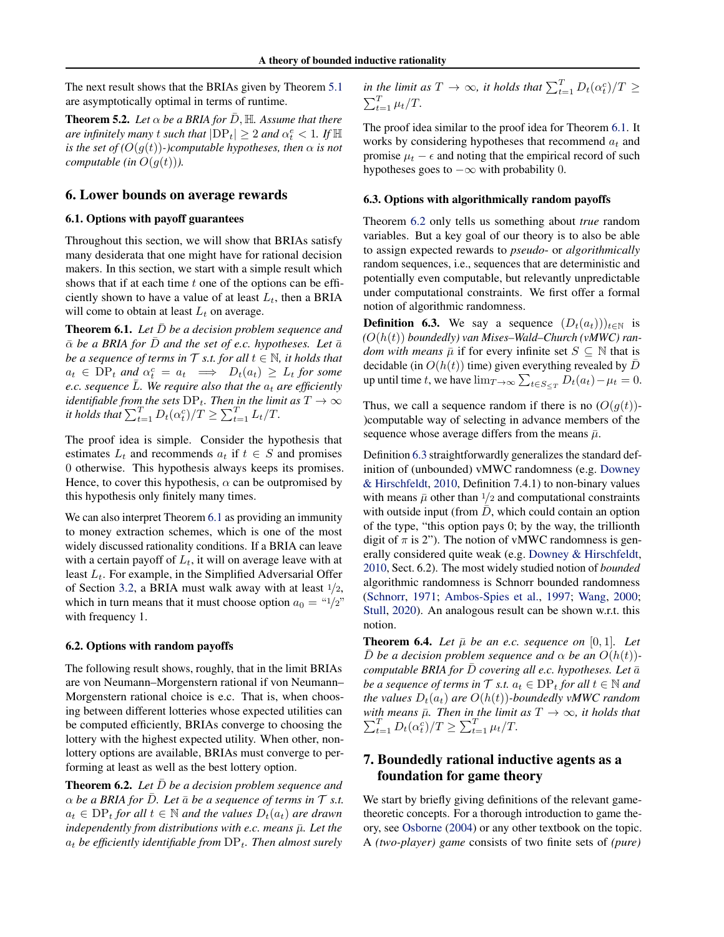The next result shows that the BRIAs given by Theorem [5.1](#page-4-1) are asymptotically optimal in terms of runtime.

<span id="page-5-6"></span>**Theorem 5.2.** Let  $\alpha$  be a BRIA for  $\bar{D}$ ,  $\mathbb{H}$ . Assume that there *are infinitely many t such that*  $|DP_t| \geq 2$  *and*  $\alpha_t^e < 1$ *. If*  $\mathbb H$ *is the set of*  $(O(g(t))$ -)computable hypotheses, then  $\alpha$  *is not computable (in*  $O(g(t))$ ).

## <span id="page-5-8"></span>6. Lower bounds on average rewards

### <span id="page-5-0"></span>6.1. Options with payoff guarantees

Throughout this section, we will show that BRIAs satisfy many desiderata that one might have for rational decision makers. In this section, we start with a simple result which shows that if at each time  $t$  one of the options can be efficiently shown to have a value of at least  $L_t$ , then a BRIA will come to obtain at least  $L_t$  on average.

<span id="page-5-3"></span>**Theorem 6.1.** Let  $\overline{D}$  be a decision problem sequence and  $\bar{\alpha}$  be a BRIA for  $\bar{D}$  and the set of e.c. hypotheses. Let  $\bar{a}$ *be a sequence of terms in*  $\mathcal T$  *s.t. for all*  $t \in \mathbb N$ *, it holds that*  $a_t \in \text{DP}_t$  and  $\alpha_t^c = a_t \implies D_t(a_t) \geq L_t$  for some *e.c. sequence*  $\overline{L}$ *. We require also that the*  $a_t$  *are efficiently identifiable from the sets*  $DP_t$ *. Then in the limit as*  $T \to \infty$ *it holds that*  $\sum_{t=1}^{T} D_t(\alpha_t^c)/T \geq \sum_{t=1}^{T} L_t/T$ .

The proof idea is simple. Consider the hypothesis that estimates  $L_t$  and recommends  $a_t$  if  $t \in S$  and promises 0 otherwise. This hypothesis always keeps its promises. Hence, to cover this hypothesis,  $\alpha$  can be outpromised by this hypothesis only finitely many times.

We can also interpret Theorem [6.1](#page-5-3) as providing an immunity to money extraction schemes, which is one of the most widely discussed rationality conditions. If a BRIA can leave with a certain payoff of  $L_t$ , it will on average leave with at least  $L_t$ . For example, in the Simplified Adversarial Offer of Section [3.2,](#page-2-0) a BRIA must walk away with at least  $\frac{1}{2}$ , which in turn means that it must choose option  $a_0 = \frac{1}{2}$ " with frequency 1.

#### <span id="page-5-1"></span>6.2. Options with random payoffs

The following result shows, roughly, that in the limit BRIAs are von Neumann–Morgenstern rational if von Neumann– Morgenstern rational choice is e.c. That is, when choosing between different lotteries whose expected utilities can be computed efficiently, BRIAs converge to choosing the lottery with the highest expected utility. When other, nonlottery options are available, BRIAs must converge to performing at least as well as the best lottery option.

<span id="page-5-4"></span>**Theorem 6.2.** *Let*  $\bar{D}$  *be a decision problem sequence and*  $\alpha$  *be a BRIA for D. Let*  $\bar{a}$  *be a sequence of terms in*  $\mathcal{T}$  *s.t.*  $a_t \in \text{DP}_t$  *for all*  $t \in \mathbb{N}$  *and the values*  $D_t(a_t)$  *are drawn independently from distributions with e.c. means*  $\bar{\mu}$ *. Let the*  $a_t$  *be efficiently identifiable from*  $DP_t$ *. Then almost surely* 

in the limit as  $T \to \infty$ , it holds that  $\sum_{t=1}^{T} D_t(\alpha_t^c)/T \geq$  $\sum_{t=1}^{T} \mu_t/T$ .

The proof idea similar to the proof idea for Theorem [6.1.](#page-5-3) It works by considering hypotheses that recommend  $a_t$  and promise  $\mu_t - \epsilon$  and noting that the empirical record of such hypotheses goes to  $-\infty$  with probability 0.

#### <span id="page-5-2"></span>6.3. Options with algorithmically random payoffs

Theorem [6.2](#page-5-4) only tells us something about *true* random variables. But a key goal of our theory is to also be able to assign expected rewards to *pseudo*- or *algorithmically* random sequences, i.e., sequences that are deterministic and potentially even computable, but relevantly unpredictable under computational constraints. We first offer a formal notion of algorithmic randomness.

<span id="page-5-5"></span>**Definition 6.3.** We say a sequence  $(D_t(a_t))_{t\in\mathbb{N}}$  is *(*O(h(t)) *boundedly) van Mises–Wald–Church (vMWC) random with means*  $\bar{\mu}$  if for every infinite set  $S \subseteq \mathbb{N}$  that is decidable (in  $O(h(t))$  time) given everything revealed by D up until time t, we have  $\lim_{T\to\infty}\sum_{t\in S_{\leq T}}D_t(a_t)-\mu_t=0$ .

Thus, we call a sequence random if there is no  $(O(q(t)))$ -)computable way of selecting in advance members of the sequence whose average differs from the means  $\bar{\mu}$ .

Definition [6.3](#page-5-5) straightforwardly generalizes the standard definition of (unbounded) vMWC randomness (e.g. [Downey](#page-8-13) [& Hirschfeldt,](#page-8-13) [2010,](#page-8-13) Definition 7.4.1) to non-binary values with means  $\bar{\mu}$  other than 1/2 and computational constraints with outside input (from  $\overline{D}$ , which could contain an option of the type, "this option pays 0; by the way, the trillionth digit of  $\pi$  is 2"). The notion of vMWC randomness is generally considered quite weak (e.g. [Downey & Hirschfeldt,](#page-8-13) [2010,](#page-8-13) Sect. 6.2). The most widely studied notion of *bounded* algorithmic randomness is Schnorr bounded randomness [\(Schnorr,](#page-9-14) [1971;](#page-9-14) [Ambos-Spies et al.,](#page-8-14) [1997;](#page-8-14) [Wang,](#page-9-15) [2000;](#page-9-15) [Stull,](#page-9-16) [2020\)](#page-9-16). An analogous result can be shown w.r.t. this notion.

<span id="page-5-7"></span>**Theorem 6.4.** Let  $\bar{\mu}$  be an e.c. sequence on  $[0, 1]$ . Let  $\overline{D}$  *be a decision problem sequence and*  $\alpha$  *be an*  $O(h(t))$ *computable BRIA for*  $\bar{D}$  *covering all e.c. hypotheses. Let*  $\bar{a}$ *be a sequence of terms in*  $\mathcal{T}$  *s.t.*  $a_t \in DP_t$  *for all*  $t \in \mathbb{N}$  *and the values*  $D_t(a_t)$  *are*  $O(h(t))$ *-boundedly vMWC random with means*  $\sum$ *th* means  $\bar{\mu}$ . Then in the limit as  $T \to \infty$ , it holds that  $T_{t=1}$   $D_t(\alpha_t^c)/T \ge \sum_{t=1}^T \mu_t/T$ .

## 7. Boundedly rational inductive agents as a foundation for game theory

We start by briefly giving definitions of the relevant gametheoretic concepts. For a thorough introduction to game theory, see [Osborne](#page-9-17) [\(2004\)](#page-9-17) or any other textbook on the topic. A *(two-player) game* consists of two finite sets of *(pure)*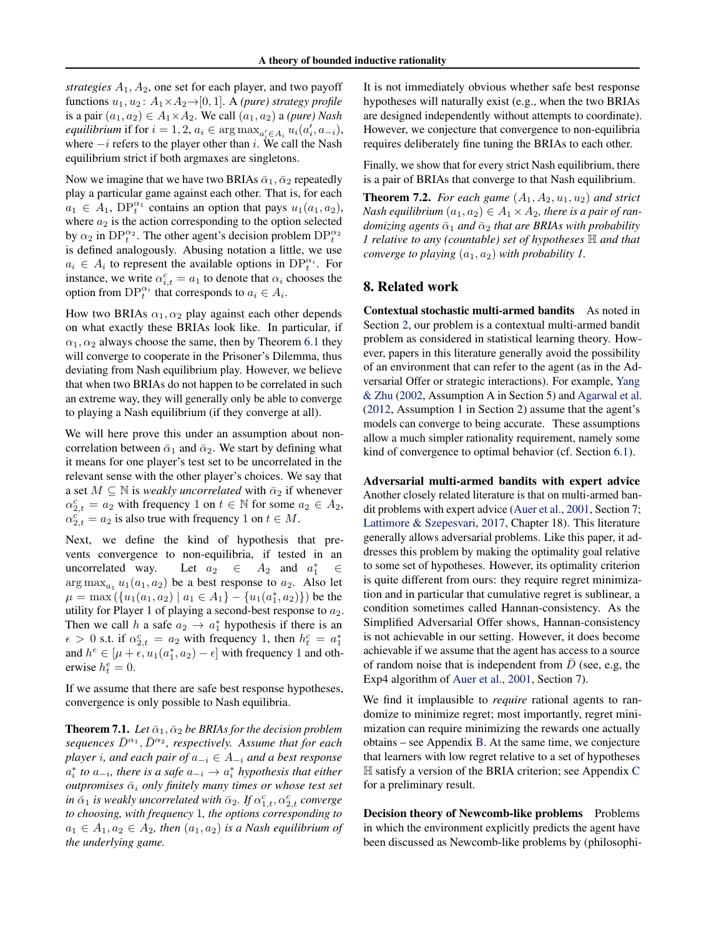*strategies*  $A_1$ ,  $A_2$ , one set for each player, and two payoff functions  $u_1, u_2$ :  $A_1 \times A_2 \rightarrow [0, 1]$ . A *(pure) strategy profile* is a pair  $(a_1, a_2) \in A_1 \times A_2$ . We call  $(a_1, a_2)$  a *(pure) Nash equilibrium* if for  $i = 1, 2, a_i \in \arg \max_{a'_i \in A_i} u_i(a'_i, a_{-i}),$ where  $-i$  refers to the player other than i. We call the Nash equilibrium strict if both argmaxes are singletons.

Now we imagine that we have two BRIAs  $\bar{\alpha}_1$ ,  $\bar{\alpha}_2$  repeatedly play a particular game against each other. That is, for each  $a_1 \in A_1$ ,  $DP_t^{\alpha_1}$  contains an option that pays  $u_1(a_1, a_2)$ , where  $a_2$  is the action corresponding to the option selected by  $\alpha_2$  in DP $_t^{\alpha_2}$ . The other agent's decision problem DP $_t^{\alpha_2}$ is defined analogously. Abusing notation a little, we use  $a_i \in A_i$  to represent the available options in  $DP_t^{\alpha_i}$ . For instance, we write  $\alpha_{i,t}^c = a_1$  to denote that  $\alpha_i$  chooses the option from  $DP_t^{\alpha_i}$  that corresponds to  $a_i \in A_i$ .

How two BRIAs  $\alpha_1, \alpha_2$  play against each other depends on what exactly these BRIAs look like. In particular, if  $\alpha_1, \alpha_2$  always choose the same, then by Theorem [6.1](#page-5-3) they will converge to cooperate in the Prisoner's Dilemma, thus deviating from Nash equilibrium play. However, we believe that when two BRIAs do not happen to be correlated in such an extreme way, they will generally only be able to converge to playing a Nash equilibrium (if they converge at all).

We will here prove this under an assumption about noncorrelation between  $\bar{\alpha}_1$  and  $\bar{\alpha}_2$ . We start by defining what it means for one player's test set to be uncorrelated in the relevant sense with the other player's choices. We say that a set  $M \subseteq \mathbb{N}$  is *weakly uncorrelated* with  $\bar{\alpha}_2$  if whenever  $\alpha_{2,t}^c = a_2$  with frequency 1 on  $t \in \mathbb{N}$  for some  $a_2 \in A_2$ ,  $\alpha_{2,t}^c = a_2$  is also true with frequency 1 on  $t \in M$ .

Next, we define the kind of hypothesis that prevents convergence to non-equilibria, if tested in an uncorrelated way. Let  $a_2 \in A_2$  and  $a_1^* \in$  $\arg \max_{a_1} u_1(a_1, a_2)$  be a best response to  $a_2$ . Also let  $\mu = \max(\{u_1(a_1, a_2) | a_1 \in A_1\} - \{u_1(a_1^*, a_2)\})$  be the utility for Player 1 of playing a second-best response to  $a_2$ . Then we call h a safe  $a_2 \rightarrow a_1^*$  hypothesis if there is an  $\epsilon > 0$  s.t. if  $\alpha_{2,t}^c = a_2$  with frequency 1, then  $h_t^c = a_1^*$ and  $h^e \in [\mu + \epsilon, u_1(a_1^*, a_2) - \epsilon]$  with frequency 1 and otherwise  $h_t^e = 0$ .

If we assume that there are safe best response hypotheses, convergence is only possible to Nash equilibria.

<span id="page-6-1"></span>**Theorem 7.1.** Let  $\bar{\alpha}_1$ ,  $\bar{\alpha}_2$  be BRIAs for the decision problem *sequences*  $\bar{D}^{\alpha_1}$ ,  $\bar{D}^{\alpha_2}$ , respectively. Assume that for each *player i*, and each pair of  $a_{-i} \in A_{-i}$  and a best response  $a_i^*$  to  $a_{-i}$ , there is a safe  $a_{-i} \rightarrow a_i^*$  hypothesis that either  $outpromises$   $\bar{\alpha}_i$  *only finitely many times or whose test set*  $\bar{a}_1$  *is weakly uncorrelated with*  $\bar{\alpha}_2$ *. If*  $\alpha_{1,t}^c$ ,  $\alpha_{2,t}^c$  *converge to choosing, with frequency* 1*, the options corresponding to*  $a_1 \in A_1, a_2 \in A_2$ , then  $(a_1, a_2)$  *is a Nash equilibrium of the underlying game.*

It is not immediately obvious whether safe best response hypotheses will naturally exist (e.g., when the two BRIAs are designed independently without attempts to coordinate). However, we conjecture that convergence to non-equilibria requires deliberately fine tuning the BRIAs to each other.

Finally, we show that for every strict Nash equilibrium, there is a pair of BRIAs that converge to that Nash equilibrium.

<span id="page-6-2"></span>**Theorem 7.2.** *For each game*  $(A_1, A_2, u_1, u_2)$  *and strict Nash equilibrium*  $(a_1, a_2) \in A_1 \times A_2$ , there is a pair of ran*domizing agents*  $\bar{\alpha}_1$  *and*  $\bar{\alpha}_2$  *that are BRIAs with probability 1 relative to any (countable) set of hypotheses* H *and that converge to playing*  $(a_1, a_2)$  *with probability 1.* 

## <span id="page-6-0"></span>8. Related work

Contextual stochastic multi-armed bandits As noted in Section [2,](#page-1-1) our problem is a contextual multi-armed bandit problem as considered in statistical learning theory. However, papers in this literature generally avoid the possibility of an environment that can refer to the agent (as in the Adversarial Offer or strategic interactions). For example, [Yang](#page-9-18) [& Zhu](#page-9-18) [\(2002,](#page-9-18) Assumption A in Section 5) and [Agarwal et al.](#page-7-0) [\(2012,](#page-7-0) Assumption 1 in Section 2) assume that the agent's models can converge to being accurate. These assumptions allow a much simpler rationality requirement, namely some kind of convergence to optimal behavior (cf. Section [6.1\)](#page-5-0).

Adversarial multi-armed bandits with expert advice Another closely related literature is that on multi-armed bandit problems with expert advice [\(Auer et al.,](#page-8-15) [2001,](#page-8-15) Section 7; [Lattimore & Szepesvari,](#page-8-16) [2017,](#page-8-16) Chapter 18). This literature generally allows adversarial problems. Like this paper, it addresses this problem by making the optimality goal relative to some set of hypotheses. However, its optimality criterion is quite different from ours: they require regret minimization and in particular that cumulative regret is sublinear, a condition sometimes called Hannan-consistency. As the Simplified Adversarial Offer shows, Hannan-consistency is not achievable in our setting. However, it does become achievable if we assume that the agent has access to a source of random noise that is independent from  $D$  (see, e.g, the Exp4 algorithm of [Auer et al.,](#page-8-15) [2001,](#page-8-15) Section 7).

We find it implausible to *require* rational agents to randomize to minimize regret; most importantly, regret minimization can require minimizing the rewards one actually obtains – see Appendix [B.](#page-15-0) At the same time, we conjecture that learners with low regret relative to a set of hypotheses  $\mathbb H$  satisfy a version of the BRIA criterion; see Appendix [C](#page-16-0) for a preliminary result.

Decision theory of Newcomb-like problems Problems in which the environment explicitly predicts the agent have been discussed as Newcomb-like problems by (philosophi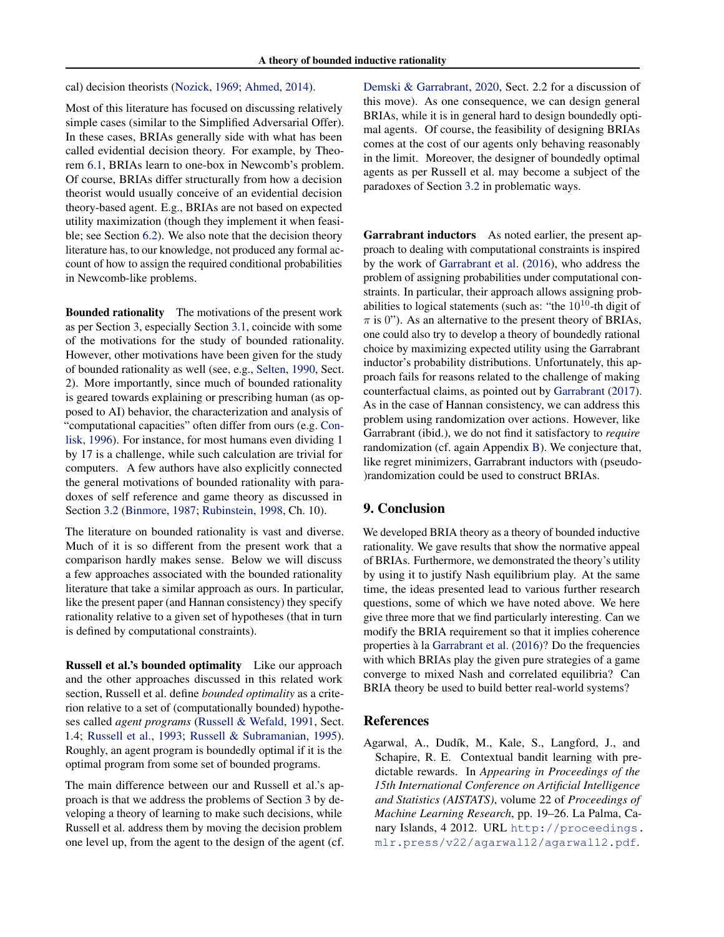cal) decision theorists [\(Nozick,](#page-8-17) [1969;](#page-8-17) [Ahmed,](#page-8-18) [2014\)](#page-8-18).

Most of this literature has focused on discussing relatively simple cases (similar to the Simplified Adversarial Offer). In these cases, BRIAs generally side with what has been called evidential decision theory. For example, by Theorem [6.1,](#page-5-3) BRIAs learn to one-box in Newcomb's problem. Of course, BRIAs differ structurally from how a decision theorist would usually conceive of an evidential decision theory-based agent. E.g., BRIAs are not based on expected utility maximization (though they implement it when feasible; see Section [6.2\)](#page-5-1). We also note that the decision theory literature has, to our knowledge, not produced any formal account of how to assign the required conditional probabilities in Newcomb-like problems.

Bounded rationality The motivations of the present work as per Section [3,](#page-1-3) especially Section [3.1,](#page-1-0) coincide with some of the motivations for the study of bounded rationality. However, other motivations have been given for the study of bounded rationality as well (see, e.g., [Selten,](#page-9-19) [1990,](#page-9-19) Sect. 2). More importantly, since much of bounded rationality is geared towards explaining or prescribing human (as opposed to AI) behavior, the characterization and analysis of "computational capacities" often differ from ours (e.g. [Con](#page-8-19)[lisk,](#page-8-19) [1996\)](#page-8-19). For instance, for most humans even dividing 1 by 17 is a challenge, while such calculation are trivial for computers. A few authors have also explicitly connected the general motivations of bounded rationality with paradoxes of self reference and game theory as discussed in Section [3.2](#page-2-0) [\(Binmore,](#page-8-12) [1987;](#page-8-12) [Rubinstein,](#page-9-10) [1998,](#page-9-10) Ch. 10).

The literature on bounded rationality is vast and diverse. Much of it is so different from the present work that a comparison hardly makes sense. Below we will discuss a few approaches associated with the bounded rationality literature that take a similar approach as ours. In particular, like the present paper (and Hannan consistency) they specify rationality relative to a given set of hypotheses (that in turn is defined by computational constraints).

Russell et al.'s bounded optimality Like our approach and the other approaches discussed in this related work section, Russell et al. define *bounded optimality* as a criterion relative to a set of (computationally bounded) hypotheses called *agent programs* [\(Russell & Wefald,](#page-9-5) [1991,](#page-9-5) Sect. 1.4; [Russell et al.,](#page-9-6) [1993;](#page-9-6) [Russell & Subramanian,](#page-9-7) [1995\)](#page-9-7). Roughly, an agent program is boundedly optimal if it is the optimal program from some set of bounded programs.

The main difference between our and Russell et al.'s approach is that we address the problems of Section [3](#page-1-3) by developing a theory of learning to make such decisions, while Russell et al. address them by moving the decision problem one level up, from the agent to the design of the agent (cf. [Demski & Garrabrant,](#page-8-6) [2020,](#page-8-6) Sect. 2.2 for a discussion of this move). As one consequence, we can design general BRIAs, while it is in general hard to design boundedly optimal agents. Of course, the feasibility of designing BRIAs comes at the cost of our agents only behaving reasonably in the limit. Moreover, the designer of boundedly optimal agents as per Russell et al. may become a subject of the paradoxes of Section [3.2](#page-2-0) in problematic ways.

Garrabrant inductors As noted earlier, the present approach to dealing with computational constraints is inspired by the work of [Garrabrant et al.](#page-8-0) [\(2016\)](#page-8-0), who address the problem of assigning probabilities under computational constraints. In particular, their approach allows assigning probabilities to logical statements (such as: "the  $10^{10}$ -th digit of  $\pi$  is 0"). As an alternative to the present theory of BRIAs, one could also try to develop a theory of boundedly rational choice by maximizing expected utility using the Garrabrant inductor's probability distributions. Unfortunately, this approach fails for reasons related to the challenge of making counterfactual claims, as pointed out by [Garrabrant](#page-8-20) [\(2017\)](#page-8-20). As in the case of Hannan consistency, we can address this problem using randomization over actions. However, like Garrabrant (ibid.), we do not find it satisfactory to *require* randomization (cf. again Appendix [B\)](#page-15-0). We conjecture that, like regret minimizers, Garrabrant inductors with (pseudo- )randomization could be used to construct BRIAs.

## 9. Conclusion

We developed BRIA theory as a theory of bounded inductive rationality. We gave results that show the normative appeal of BRIAs. Furthermore, we demonstrated the theory's utility by using it to justify Nash equilibrium play. At the same time, the ideas presented lead to various further research questions, some of which we have noted above. We here give three more that we find particularly interesting. Can we modify the BRIA requirement so that it implies coherence properties à la [Garrabrant et al.](#page-8-0) [\(2016\)](#page-8-0)? Do the frequencies with which BRIAs play the given pure strategies of a game converge to mixed Nash and correlated equilibria? Can BRIA theory be used to build better real-world systems?

### References

<span id="page-7-0"></span>Agarwal, A., Dudík, M., Kale, S., Langford, J., and Schapire, R. E. Contextual bandit learning with predictable rewards. In *Appearing in Proceedings of the 15th International Conference on Artificial Intelligence and Statistics (AISTATS)*, volume 22 of *Proceedings of Machine Learning Research*, pp. 19–26. La Palma, Canary Islands, 4 2012. URL [http://proceedings.](http://proceedings.mlr.press/v22/agarwal12/agarwal12.pdf) [mlr.press/v22/agarwal12/agarwal12.pdf](http://proceedings.mlr.press/v22/agarwal12/agarwal12.pdf).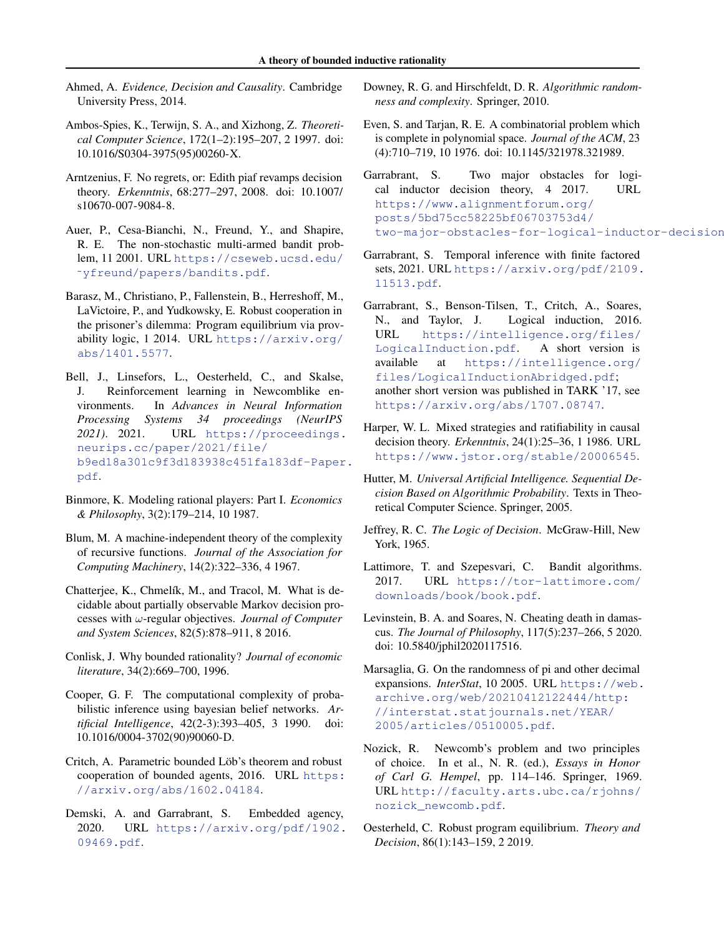- <span id="page-8-18"></span>Ahmed, A. *Evidence, Decision and Causality*. Cambridge University Press, 2014.
- <span id="page-8-14"></span>Ambos-Spies, K., Terwijn, S. A., and Xizhong, Z. *Theoretical Computer Science*, 172(1–2):195–207, 2 1997. doi: 10.1016/S0304-3975(95)00260-X.
- <span id="page-8-22"></span>Arntzenius, F. No regrets, or: Edith piaf revamps decision theory. *Erkenntnis*, 68:277–297, 2008. doi: 10.1007/ s10670-007-9084-8.
- <span id="page-8-15"></span>Auer, P., Cesa-Bianchi, N., Freund, Y., and Shapire, R. E. The non-stochastic multi-armed bandit problem, 11 2001. URL [https://cseweb.ucsd.edu/](https://cseweb.ucsd.edu/~yfreund/papers/bandits.pdf) [˜yfreund/papers/bandits.pdf](https://cseweb.ucsd.edu/~yfreund/papers/bandits.pdf).
- <span id="page-8-9"></span>Barasz, M., Christiano, P., Fallenstein, B., Herreshoff, M., LaVictoire, P., and Yudkowsky, E. Robust cooperation in the prisoner's dilemma: Program equilibrium via provability logic, 1 2014. URL [https://arxiv.org/](https://arxiv.org/abs/1401.5577) [abs/1401.5577](https://arxiv.org/abs/1401.5577).
- <span id="page-8-21"></span>Bell, J., Linsefors, L., Oesterheld, C., and Skalse, J. Reinforcement learning in Newcomblike environments. In *Advances in Neural Information Processing Systems 34 proceedings (NeurIPS 2021)*. 2021. URL [https://proceedings.](https://proceedings.neurips.cc/paper/2021/file/b9ed18a301c9f3d183938c451fa183df-Paper.pdf) [neurips.cc/paper/2021/file/](https://proceedings.neurips.cc/paper/2021/file/b9ed18a301c9f3d183938c451fa183df-Paper.pdf) [b9ed18a301c9f3d183938c451fa183df-Paper](https://proceedings.neurips.cc/paper/2021/file/b9ed18a301c9f3d183938c451fa183df-Paper.pdf). [pdf](https://proceedings.neurips.cc/paper/2021/file/b9ed18a301c9f3d183938c451fa183df-Paper.pdf).
- <span id="page-8-12"></span>Binmore, K. Modeling rational players: Part I. *Economics & Philosophy*, 3(2):179–214, 10 1987.
- <span id="page-8-7"></span>Blum, M. A machine-independent theory of the complexity of recursive functions. *Journal of the Association for Computing Machinery*, 14(2):322–336, 4 1967.
- <span id="page-8-3"></span>Chatterjee, K., Chmelík, M., and Tracol, M. What is decidable about partially observable Markov decision processes with ω-regular objectives. *Journal of Computer and System Sciences*, 82(5):878–911, 8 2016.
- <span id="page-8-19"></span>Conlisk, J. Why bounded rationality? *Journal of economic literature*, 34(2):669–700, 1996.
- <span id="page-8-2"></span>Cooper, G. F. The computational complexity of probabilistic inference using bayesian belief networks. *Artificial Intelligence*, 42(2-3):393–405, 3 1990. doi: 10.1016/0004-3702(90)90060-D.
- <span id="page-8-10"></span>Critch, A. Parametric bounded Löb's theorem and robust cooperation of bounded agents, 2016. URL [https:](https://arxiv.org/abs/1602.04184) [//arxiv.org/abs/1602.04184](https://arxiv.org/abs/1602.04184).
- <span id="page-8-6"></span>Demski, A. and Garrabrant, S. Embedded agency, 2020. URL [https://arxiv.org/pdf/1902.](https://arxiv.org/pdf/1902.09469.pdf) [09469.pdf](https://arxiv.org/pdf/1902.09469.pdf).
- <span id="page-8-13"></span>Downey, R. G. and Hirschfeldt, D. R. *Algorithmic randomness and complexity*. Springer, 2010.
- <span id="page-8-4"></span>Even, S. and Tarjan, R. E. A combinatorial problem which is complete in polynomial space. *Journal of the ACM*, 23 (4):710–719, 10 1976. doi: 10.1145/321978.321989.
- <span id="page-8-20"></span>Garrabrant, S. Two major obstacles for logical inductor decision theory, 4 2017. URL [https://www.alignmentforum.org/](https://www.alignmentforum.org/posts/5bd75cc58225bf06703753d4/two-major-obstacles-for-logical-inductor-decision-theory) [posts/5bd75cc58225bf06703753d4/](https://www.alignmentforum.org/posts/5bd75cc58225bf06703753d4/two-major-obstacles-for-logical-inductor-decision-theory) two-major-obstacles-for-logical-inductor-decision
- <span id="page-8-25"></span>Garrabrant, S. Temporal inference with finite factored sets, 2021. URL [https://arxiv.org/pdf/2109.](https://arxiv.org/pdf/2109.11513.pdf) [11513.pdf](https://arxiv.org/pdf/2109.11513.pdf).
- <span id="page-8-0"></span>Garrabrant, S., Benson-Tilsen, T., Critch, A., Soares, N., and Taylor, J. Logical induction, 2016. URL [https://intelligence.org/files/](https://intelligence.org/files/LogicalInduction.pdf) [LogicalInduction.pdf](https://intelligence.org/files/LogicalInduction.pdf). A short version is available at [https://intelligence.org/](https://intelligence.org/files/LogicalInductionAbridged.pdf) [files/LogicalInductionAbridged.pdf](https://intelligence.org/files/LogicalInductionAbridged.pdf); another short version was published in TARK '17, see <https://arxiv.org/abs/1707.08747>.
- <span id="page-8-23"></span>Harper, W. L. Mixed strategies and ratifiability in causal decision theory. *Erkenntnis*, 24(1):25–36, 1 1986. URL <https://www.jstor.org/stable/20006545>.
- <span id="page-8-8"></span>Hutter, M. *Universal Artificial Intelligence. Sequential Decision Based on Algorithmic Probability*. Texts in Theoretical Computer Science. Springer, 2005.
- <span id="page-8-1"></span>Jeffrey, R. C. *The Logic of Decision*. McGraw-Hill, New York, 1965.
- <span id="page-8-16"></span>Lattimore, T. and Szepesvari, C. Bandit algorithms. 2017. URL [https://tor-lattimore.com/](https://tor-lattimore.com/downloads/book/book.pdf) [downloads/book/book.pdf](https://tor-lattimore.com/downloads/book/book.pdf).
- <span id="page-8-24"></span>Levinstein, B. A. and Soares, N. Cheating death in damascus. *The Journal of Philosophy*, 117(5):237–266, 5 2020. doi: 10.5840/jphil2020117516.
- <span id="page-8-5"></span>Marsaglia, G. On the randomness of pi and other decimal expansions. *InterStat*, 10 2005. URL [https://web.](https://web.archive.org/web/20210412122444/http://interstat.statjournals.net/YEAR/2005/articles/0510005.pdf) [archive.org/web/20210412122444/http:](https://web.archive.org/web/20210412122444/http://interstat.statjournals.net/YEAR/2005/articles/0510005.pdf) [//interstat.statjournals.net/YEAR/](https://web.archive.org/web/20210412122444/http://interstat.statjournals.net/YEAR/2005/articles/0510005.pdf) [2005/articles/0510005.pdf](https://web.archive.org/web/20210412122444/http://interstat.statjournals.net/YEAR/2005/articles/0510005.pdf).
- <span id="page-8-17"></span>Nozick, R. Newcomb's problem and two principles of choice. In et al., N. R. (ed.), *Essays in Honor of Carl G. Hempel*, pp. 114–146. Springer, 1969. URL [http://faculty.arts.ubc.ca/rjohns/](http://faculty.arts.ubc.ca/rjohns/nozick_newcomb.pdf) [nozick\\_newcomb.pdf](http://faculty.arts.ubc.ca/rjohns/nozick_newcomb.pdf).
- <span id="page-8-11"></span>Oesterheld, C. Robust program equilibrium. *Theory and Decision*, 86(1):143–159, 2 2019.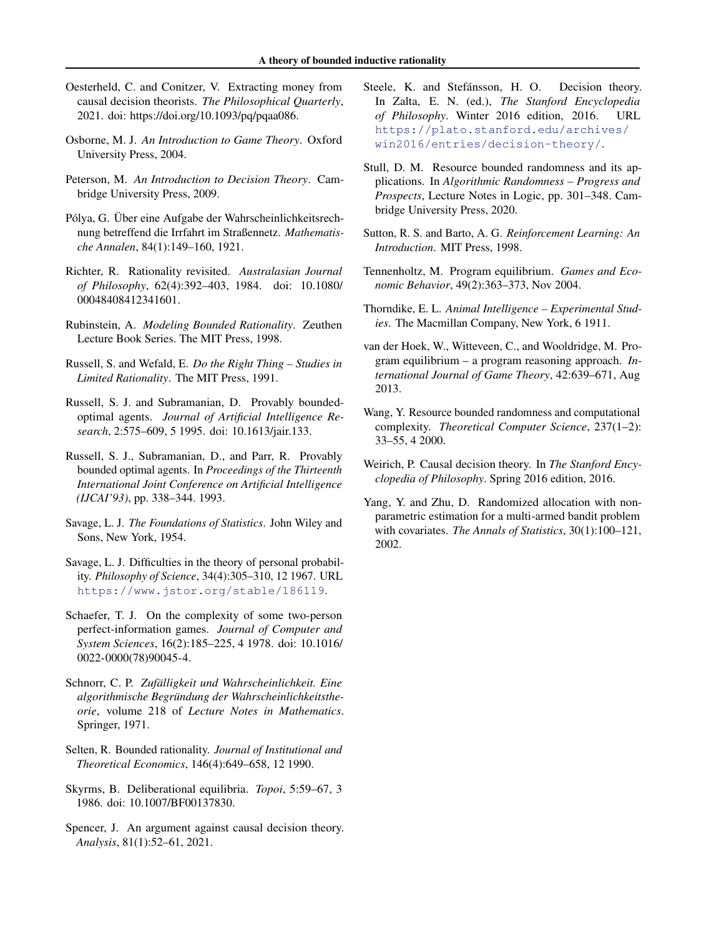- <span id="page-9-8"></span>Oesterheld, C. and Conitzer, V. Extracting money from causal decision theorists. *The Philosophical Quarterly*, 2021. doi: https://doi.org/10.1093/pq/pqaa086.
- <span id="page-9-17"></span>Osborne, M. J. *An Introduction to Game Theory*. Oxford University Press, 2004.
- <span id="page-9-1"></span>Peterson, M. *An Introduction to Decision Theory*. Cambridge University Press, 2009.
- <span id="page-9-13"></span>Pólya, G. Über eine Aufgabe der Wahrscheinlichkeitsrechnung betreffend die Irrfahrt im Straßennetz. *Mathematische Annalen*, 84(1):149–160, 1921.
- <span id="page-9-21"></span>Richter, R. Rationality revisited. *Australasian Journal of Philosophy*, 62(4):392–403, 1984. doi: 10.1080/ 00048408412341601.
- <span id="page-9-10"></span>Rubinstein, A. *Modeling Bounded Rationality*. Zeuthen Lecture Book Series. The MIT Press, 1998.
- <span id="page-9-5"></span>Russell, S. and Wefald, E. *Do the Right Thing – Studies in Limited Rationality*. The MIT Press, 1991.
- <span id="page-9-7"></span>Russell, S. J. and Subramanian, D. Provably boundedoptimal agents. *Journal of Artificial Intelligence Research*, 2:575–609, 5 1995. doi: 10.1613/jair.133.
- <span id="page-9-6"></span>Russell, S. J., Subramanian, D., and Parr, R. Provably bounded optimal agents. In *Proceedings of the Thirteenth International Joint Conference on Artificial Intelligence (IJCAI'93)*, pp. 338–344. 1993.
- <span id="page-9-0"></span>Savage, L. J. *The Foundations of Statistics*. John Wiley and Sons, New York, 1954.
- <span id="page-9-4"></span>Savage, L. J. Difficulties in the theory of personal probability. *Philosophy of Science*, 34(4):305–310, 12 1967. URL <https://www.jstor.org/stable/186119>.
- <span id="page-9-3"></span>Schaefer, T. J. On the complexity of some two-person perfect-information games. *Journal of Computer and System Sciences*, 16(2):185–225, 4 1978. doi: 10.1016/ 0022-0000(78)90045-4.
- <span id="page-9-14"></span>Schnorr, C. P. *Zufalligkeit und Wahrscheinlichkeit. Eine ¨ algorithmische Begrundung der Wahrscheinlichkeitsthe- ¨ orie*, volume 218 of *Lecture Notes in Mathematics*. Springer, 1971.
- <span id="page-9-19"></span>Selten, R. Bounded rationality. *Journal of Institutional and Theoretical Economics*, 146(4):649–658, 12 1990.
- <span id="page-9-22"></span>Skyrms, B. Deliberational equilibria. *Topoi*, 5:59–67, 3 1986. doi: 10.1007/BF00137830.
- <span id="page-9-9"></span>Spencer, J. An argument against causal decision theory. *Analysis*, 81(1):52–61, 2021.
- <span id="page-9-2"></span>Steele, K. and Stefánsson, H. O. Decision theory. In Zalta, E. N. (ed.), *The Stanford Encyclopedia of Philosophy*. Winter 2016 edition, 2016. URL [https://plato.stanford.edu/archives/](https://plato.stanford.edu/archives/win2016/entries/decision-theory/) [win2016/entries/decision-theory/](https://plato.stanford.edu/archives/win2016/entries/decision-theory/).
- <span id="page-9-16"></span>Stull, D. M. Resource bounded randomness and its applications. In *Algorithmic Randomness – Progress and Prospects*, Lecture Notes in Logic, pp. 301–348. Cambridge University Press, 2020.
- <span id="page-9-24"></span>Sutton, R. S. and Barto, A. G. *Reinforcement Learning: An Introduction*. MIT Press, 1998.
- <span id="page-9-11"></span>Tennenholtz, M. Program equilibrium. *Games and Economic Behavior*, 49(2):363–373, Nov 2004.
- <span id="page-9-23"></span>Thorndike, E. L. *Animal Intelligence – Experimental Studies*. The Macmillan Company, New York, 6 1911.
- <span id="page-9-12"></span>van der Hoek, W., Witteveen, C., and Wooldridge, M. Program equilibrium – a program reasoning approach. *International Journal of Game Theory*, 42:639–671, Aug 2013.
- <span id="page-9-15"></span>Wang, Y. Resource bounded randomness and computational complexity. *Theoretical Computer Science*, 237(1–2): 33–55, 4 2000.
- <span id="page-9-20"></span>Weirich, P. Causal decision theory. In *The Stanford Encyclopedia of Philosophy*. Spring 2016 edition, 2016.
- <span id="page-9-18"></span>Yang, Y. and Zhu, D. Randomized allocation with nonparametric estimation for a multi-armed bandit problem with covariates. *The Annals of Statistics*, 30(1):100–121, 2002.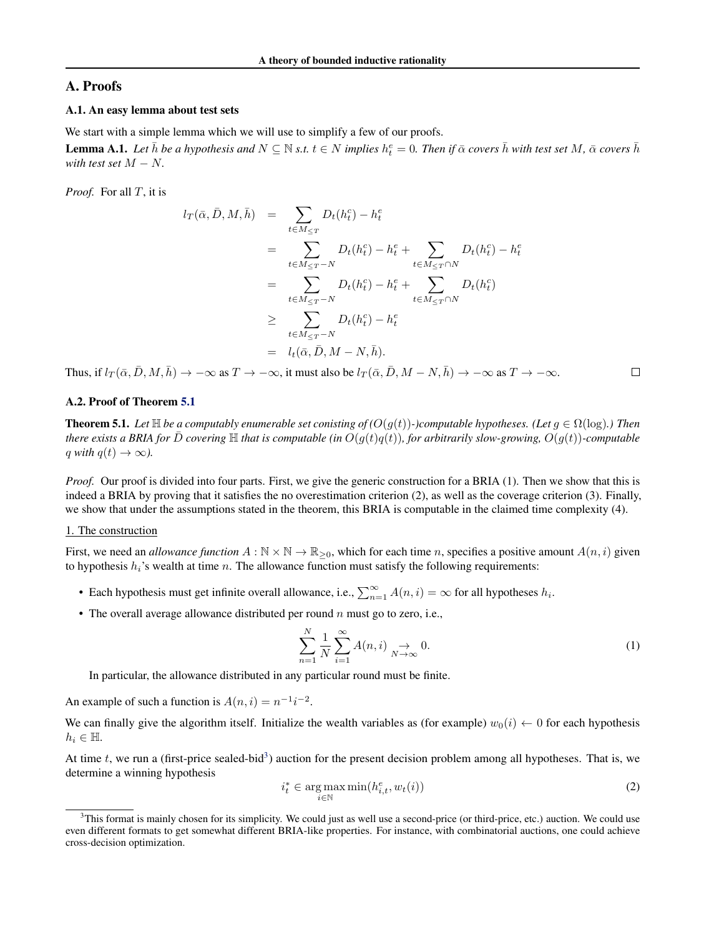## <span id="page-10-0"></span>A. Proofs

### A.1. An easy lemma about test sets

We start with a simple lemma which we will use to simplify a few of our proofs.

<span id="page-10-4"></span>**Lemma A.1.** Let  $\bar{h}$  be a hypothesis and  $N \subseteq \mathbb{N}$  s.t.  $t \in N$  implies  $h_t^e = 0$ . Then if  $\bar{\alpha}$  covers  $\bar{h}$  with test set M,  $\bar{\alpha}$  covers  $\bar{h}$ *with test set*  $M - N$ .

*Proof.* For all T, it is

$$
l_T(\bar{\alpha}, \bar{D}, M, \bar{h}) = \sum_{t \in M_{\leq T}} D_t(h_t^c) - h_t^e
$$
  
= 
$$
\sum_{t \in M_{\leq T} - N} D_t(h_t^c) - h_t^e + \sum_{t \in M_{\leq T} \cap N} D_t(h_t^c) - h_t^e
$$
  
= 
$$
\sum_{t \in M_{\leq T} - N} D_t(h_t^c) - h_t^e + \sum_{t \in M_{\leq T} \cap N} D_t(h_t^c)
$$
  

$$
\geq \sum_{t \in M_{\leq T} - N} D_t(h_t^c) - h_t^e
$$
  
= 
$$
l_t(\bar{\alpha}, \bar{D}, M - N, \bar{h}).
$$

Thus, if  $l_T(\bar{\alpha}, \bar{D}, M, \bar{h}) \to -\infty$  as  $T \to -\infty$ , it must also be  $l_T (\bar{\alpha}, \bar{D}, M - N, \bar{h}) \to -\infty$  as  $T \to -\infty$ .

#### <span id="page-10-5"></span>A.2. Proof of Theorem [5.1](#page-4-1)

**Theorem 5.1.** Let  $\mathbb{H}$  be a computably enumerable set conisting of  $O(g(t))$ -)computable hypotheses. (Let  $g \in \Omega(\log)$ .) Then *there exists a BRIA for*  $\bar{D}$  *covering*  $\mathbb{H}$  *that is computable (in*  $O(q(t)q(t))$ *, for arbitrarily slow-growing,*  $O(q(t))$ *-computable*  $q$  *with*  $q(t) \rightarrow \infty$ *).* 

*Proof.* Our proof is divided into four parts. First, we give the generic construction for a BRIA (1). Then we show that this is indeed a BRIA by proving that it satisfies the no overestimation criterion (2), as well as the coverage criterion (3). Finally, we show that under the assumptions stated in the theorem, this BRIA is computable in the claimed time complexity (4).

### 1. The construction

First, we need an *allowance function*  $A : \mathbb{N} \times \mathbb{N} \to \mathbb{R}_{\geq 0}$ , which for each time n, specifies a positive amount  $A(n, i)$  given to hypothesis  $h_i$ 's wealth at time n. The allowance function must satisfy the following requirements:

- Each hypothesis must get infinite overall allowance, i.e.,  $\sum_{n=1}^{\infty} A(n, i) = \infty$  for all hypotheses  $h_i$ .
- The overall average allowance distributed per round  $n$  must go to zero, i.e.,

<span id="page-10-2"></span>
$$
\sum_{n=1}^{N} \frac{1}{N} \sum_{i=1}^{\infty} A(n, i) \underset{N \to \infty}{\to} 0.
$$
 (1)

 $\Box$ 

In particular, the allowance distributed in any particular round must be finite.

An example of such a function is  $A(n, i) = n^{-1}i^{-2}$ .

We can finally give the algorithm itself. Initialize the wealth variables as (for example)  $w_0(i) \leftarrow 0$  for each hypothesis  $h_i \in \mathbb{H}$ .

At time  $t$ , we run a (first-price sealed-bid<sup>[3](#page-10-1)</sup>) auction for the present decision problem among all hypotheses. That is, we determine a winning hypothesis

<span id="page-10-3"></span>
$$
i_t^* \in \underset{i \in \mathbb{N}}{\arg \max \min} (h_{i,t}^e, w_t(i))
$$
\n<sup>(2)</sup>

<span id="page-10-1"></span> $3$ This format is mainly chosen for its simplicity. We could just as well use a second-price (or third-price, etc.) auction. We could use even different formats to get somewhat different BRIA-like properties. For instance, with combinatorial auctions, one could achieve cross-decision optimization.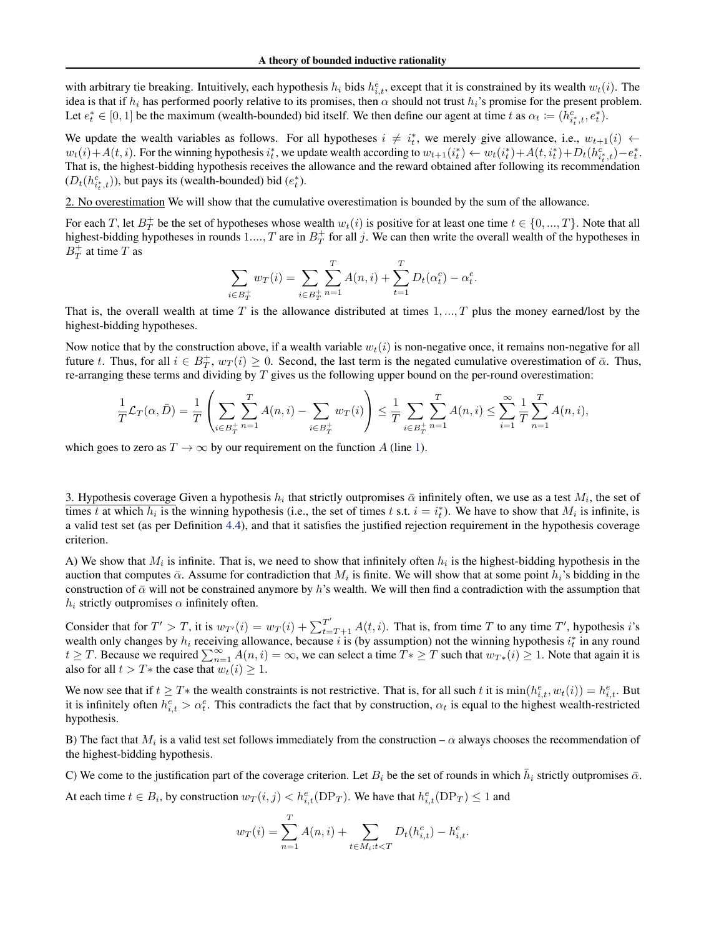with arbitrary tie breaking. Intuitively, each hypothesis  $h_i$  bids  $h_{i,t}^e$ , except that it is constrained by its wealth  $w_t(i)$ . The idea is that if  $h_i$  has performed poorly relative to its promises, then  $\alpha$  should not trust  $h_i$ 's promise for the present problem. Let  $e_t^* \in [0, 1]$  be the maximum (wealth-bounded) bid itself. We then define our agent at time t as  $\alpha_t := (h_{i_t^*, t}^c, e_t^*)$ .

We update the wealth variables as follows. For all hypotheses  $i \neq i_t^*$ , we merely give allowance, i.e.,  $w_{t+1}(i) \leftarrow$  $w_t(i) + A(t, i)$ . For the winning hypothesis  $i_t^*$ , we update wealth according to  $w_{t+1}(i_t^*) \leftarrow w_t(i_t^*) + A(t, i_t^*) + D_t(h_{i_t^*,t}^c) - e_t^*$ . That is, the highest-bidding hypothesis receives the allowance and the reward obtained after following its recommendation  $(D_t(h_{i_t^*t}^c))$ , but pays its (wealth-bounded) bid  $(e_t^*)$ .

2. No overestimation We will show that the cumulative overestimation is bounded by the sum of the allowance.

For each T, let  $B_T^+$  be the set of hypotheses whose wealth  $w_t(i)$  is positive for at least one time  $t \in \{0, ..., T\}$ . Note that all highest-bidding hypotheses in rounds  $1..., T$  are in  $B_T^+$  for all j. We can then write the overall wealth of the hypotheses in  $B_T^+$  at time T as

$$
\sum_{i \in B_T^+} w_T(i) = \sum_{i \in B_T^+} \sum_{n=1}^T A(n, i) + \sum_{t=1}^T D_t(\alpha_t^c) - \alpha_t^e.
$$

That is, the overall wealth at time T is the allowance distributed at times  $1, ..., T$  plus the money earned/lost by the highest-bidding hypotheses.

Now notice that by the construction above, if a wealth variable  $w_t(i)$  is non-negative once, it remains non-negative for all future t. Thus, for all  $i \in B_T^+$ ,  $w_T(i) \ge 0$ . Second, the last term is the negated cumulative overestimation of  $\bar{\alpha}$ . Thus, re-arranging these terms and dividing by  $T$  gives us the following upper bound on the per-round overestimation:

$$
\frac{1}{T}\mathcal{L}_T(\alpha,\bar{D}) = \frac{1}{T} \left( \sum_{i \in B_T^+} \sum_{n=1}^T A(n,i) - \sum_{i \in B_T^+} w_T(i) \right) \le \frac{1}{T} \sum_{i \in B_T^+} \sum_{n=1}^T A(n,i) \le \sum_{i=1}^{\infty} \frac{1}{T} \sum_{n=1}^T A(n,i),
$$

which goes to zero as  $T \to \infty$  by our requirement on the function A (line [1\)](#page-10-2).

3. Hypothesis coverage Given a hypothesis  $h_i$  that strictly outpromises  $\bar{\alpha}$  infinitely often, we use as a test  $M_i$ , the set of times t at which  $h_i$  is the winning hypothesis (i.e., the set of times t s.t.  $i = i_t^*$ ). We have to show that  $M_i$  is infinite, is a valid test set (as per Definition [4.4\)](#page-3-0), and that it satisfies the justified rejection requirement in the hypothesis coverage criterion.

A) We show that  $M_i$  is infinite. That is, we need to show that infinitely often  $h_i$  is the highest-bidding hypothesis in the auction that computes  $\bar{\alpha}$ . Assume for contradiction that  $M_i$  is finite. We will show that at some point  $h_i$ 's bidding in the construction of  $\bar{\alpha}$  will not be constrained anymore by h's wealth. We will then find a contradiction with the assumption that  $h_i$  strictly outpromises  $\alpha$  infinitely often.

Consider that for  $T' > T$ , it is  $w_{T'}(i) = w_T(i) + \sum_{t=T+1}^{T'} A(t, i)$ . That is, from time T to any time T', hypothesis i's wealth only changes by  $h_i$  receiving allowance, because i is (by assumption) not the winning hypothesis  $i_t^*$  in any round  $t \geq T$ . Because we required  $\sum_{n=1}^{\infty} A(n, i) = \infty$ , we can select a time  $T^* \geq T$  such that  $w_{T^*}(i) \geq 1$ . Note that again it is also for all  $t > T^*$  the case that  $w_t(i) \geq 1$ .

We now see that if  $t \geq T^*$  the wealth constraints is not restrictive. That is, for all such t it is  $\min(h_{i,t}^e, w_t(i)) = h_{i,t}^e$ . But it is infinitely often  $h_{i,t}^e > \alpha_t^e$ . This contradicts the fact that by construction,  $\alpha_t$  is equal to the highest wealth-restricted hypothesis.

B) The fact that  $M_i$  is a valid test set follows immediately from the construction –  $\alpha$  always chooses the recommendation of the highest-bidding hypothesis.

C) We come to the justification part of the coverage criterion. Let  $B_i$  be the set of rounds in which  $\bar{h}_i$  strictly outpromises  $\bar{\alpha}$ .

At each time  $t \in B_i$ , by construction  $w_T(i, j) < h_{i,t}^e(\text{DP}_T)$ . We have that  $h_{i,t}^e(\text{DP}_T) \le 1$  and  $\overline{T}$ 

$$
w_T(i) = \sum_{n=1}^{I} A(n, i) + \sum_{t \in M_i: t < T} D_t(h_{i, t}^c) - h_{i, t}^e.
$$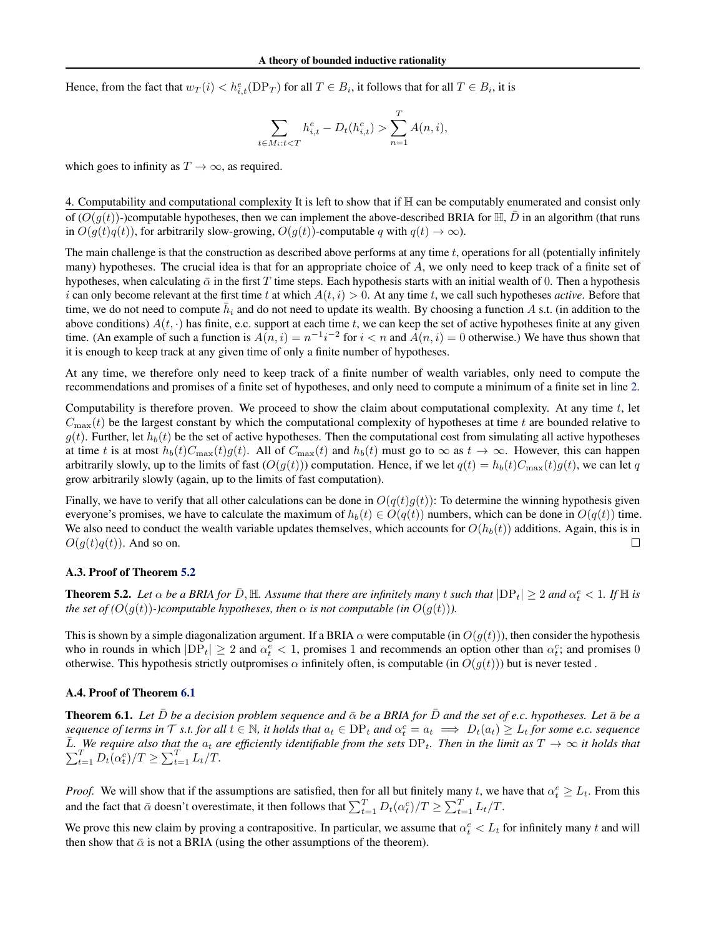Hence, from the fact that  $w_T(i) < h_{i,t}^e(\text{DP}_T)$  for all  $T \in B_i$ , it follows that for all  $T \in B_i$ , it is

$$
\sum_{t \in M_i: t < T} h_{i,t}^e - D_t(h_{i,t}^c) > \sum_{n=1}^T A(n,i),
$$

which goes to infinity as  $T \to \infty$ , as required.

4. Computability and computational complexity It is left to show that if  $\mathbb H$  can be computably enumerated and consist only of  $(O(q(t))$ -)computable hypotheses, then we can implement the above-described BRIA for  $\mathbb{H}, \overline{D}$  in an algorithm (that runs in  $O(q(t)q(t))$ , for arbitrarily slow-growing,  $O(q(t))$ -computable q with  $q(t) \rightarrow \infty$ ).

The main challenge is that the construction as described above performs at any time  $t$ , operations for all (potentially infinitely many) hypotheses. The crucial idea is that for an appropriate choice of A, we only need to keep track of a finite set of hypotheses, when calculating  $\bar{\alpha}$  in the first T time steps. Each hypothesis starts with an initial wealth of 0. Then a hypothesis i can only become relevant at the first time t at which  $A(t, i) > 0$ . At any time t, we call such hypotheses *active*. Before that time, we do not need to compute  $\bar{h}_i$  and do not need to update its wealth. By choosing a function A s.t. (in addition to the above conditions)  $A(t, \cdot)$  has finite, e.c. support at each time t, we can keep the set of active hypotheses finite at any given time. (An example of such a function is  $A(n,i) = n^{-1}i^{-2}$  for  $i < n$  and  $A(n,i) = 0$  otherwise.) We have thus shown that it is enough to keep track at any given time of only a finite number of hypotheses.

At any time, we therefore only need to keep track of a finite number of wealth variables, only need to compute the recommendations and promises of a finite set of hypotheses, and only need to compute a minimum of a finite set in line [2.](#page-10-3)

Computability is therefore proven. We proceed to show the claim about computational complexity. At any time  $t$ , let  $C_{\text{max}}(t)$  be the largest constant by which the computational complexity of hypotheses at time t are bounded relative to  $g(t)$ . Further, let  $h_b(t)$  be the set of active hypotheses. Then the computational cost from simulating all active hypotheses at time t is at most  $h_b(t)C_{\text{max}}(t)g(t)$ . All of  $C_{\text{max}}(t)$  and  $h_b(t)$  must go to  $\infty$  as  $t \to \infty$ . However, this can happen arbitrarily slowly, up to the limits of fast  $(O(q(t)))$  computation. Hence, if we let  $q(t) = h<sub>b</sub>(t)C<sub>max</sub>(t)q(t)$ , we can let q grow arbitrarily slowly (again, up to the limits of fast computation).

Finally, we have to verify that all other calculations can be done in  $O(q(t)g(t))$ : To determine the winning hypothesis given everyone's promises, we have to calculate the maximum of  $h_b(t) \in O(q(t))$  numbers, which can be done in  $O(q(t))$  time. We also need to conduct the wealth variable updates themselves, which accounts for  $O(h_b(t))$  additions. Again, this is in  $O(q(t)q(t))$ . And so on.  $\Box$ 

#### A.3. Proof of Theorem [5.2](#page-5-6)

**Theorem 5.2.** Let  $\alpha$  be a BRIA for  $\bar{D}$ ,  $\mathbb{H}$ . Assume that there are infinitely many t such that  $|DP_t| \geq 2$  and  $\alpha_t^e < 1$ . If  $\mathbb{H}$  is *the set of*  $(O(q(t))$ *-)computable hypotheses, then*  $\alpha$  *is not computable (in*  $O(q(t))$ ).

This is shown by a simple diagonalization argument. If a BRIA  $\alpha$  were computable (in  $O(g(t))$ ), then consider the hypothesis who in rounds in which  $|DP_t| \ge 2$  and  $\alpha_t^e < 1$ , promises 1 and recommends an option other than  $\alpha_t^c$ ; and promises 0 otherwise. This hypothesis strictly outpromises  $\alpha$  infinitely often, is computable (in  $O(g(t))$ ) but is never tested.

#### A.4. Proof of Theorem [6.1](#page-5-3)

**Theorem 6.1.** Let  $\bar{D}$  be a decision problem sequence and  $\bar{\alpha}$  be a BRIA for  $\bar{D}$  and the set of e.c. hypotheses. Let  $\bar{\alpha}$  be a  $sequence of terms in \mathcal{T}$  *s.t. for all*  $t \in \mathbb{N}$ , it holds that  $a_t \in DP_t$  and  $\alpha_t^c = a_t \implies D_t(a_t) \geq L_t$  for some e.c. sequence  $\bar{L}$ P *.* We require also that the  $a_t$  are efficiently identifiable from the sets  $DP_t$ . Then in the limit as  $T \to \infty$  it holds that  $\sum_{t=1}^T D_t(\alpha_t^c)/T \ge \sum_{t=1}^T L_t/T$ .

*Proof.* We will show that if the assumptions are satisfied, then for all but finitely many t, we have that  $\alpha_t^e \geq L_t$ . From this and the fact that  $\bar{\alpha}$  doesn't overestimate, it then follows that  $\sum_{t=1}^{T} D_t(\alpha_t^c)/T \ge \sum_{t=1}^{T} L_t/T$ .

We prove this new claim by proving a contrapositive. In particular, we assume that  $\alpha_t^e < L_t$  for infinitely many t and will then show that  $\bar{\alpha}$  is not a BRIA (using the other assumptions of the theorem).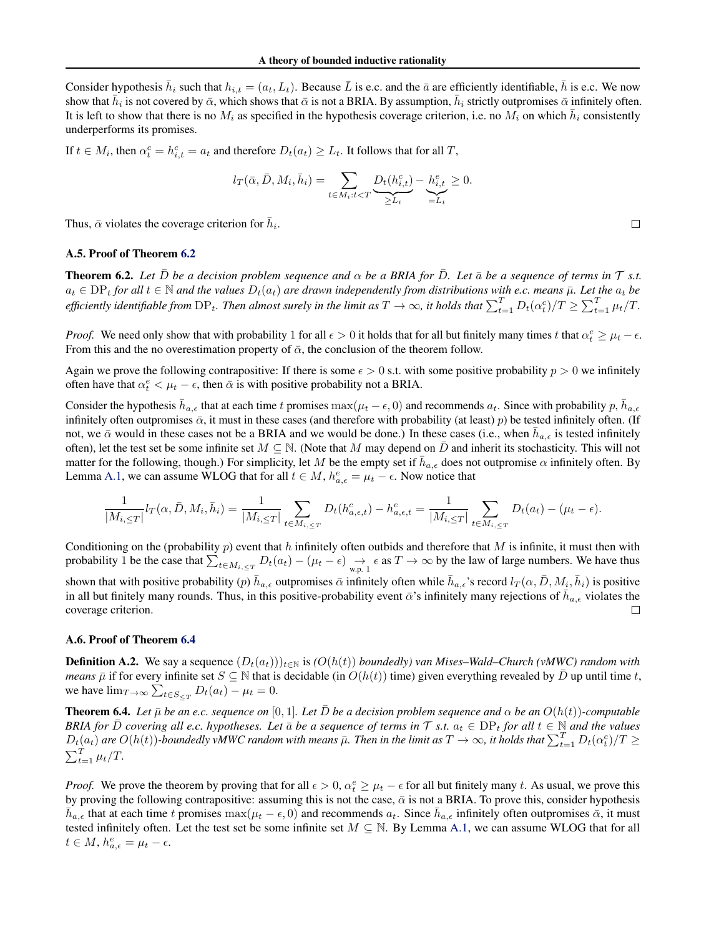Consider hypothesis  $\bar{h}_i$  such that  $h_{i,t} = (a_t, L_t)$ . Because  $\bar{L}$  is e.c. and the  $\bar{a}$  are efficiently identifiable,  $\bar{h}$  is e.c. We now show that  $\bar{h}_i$  is not covered by  $\bar{\alpha}$ , which shows that  $\bar{\alpha}$  is not a BRIA. By assumption,  $\bar{h}_i$  strictly outpromises  $\bar{\alpha}$  infinitely often. It is left to show that there is no  $M_i$  as specified in the hypothesis coverage criterion, i.e. no  $M_i$  on which  $\bar{h}_i$  consistently underperforms its promises.

If  $t \in M_i$ , then  $\alpha_t^c = h_{i,t}^c = a_t$  and therefore  $D_t(a_t) \ge L_t$ . It follows that for all T,

$$
l_T(\bar{\alpha}, \bar{D}, M_i, \bar{h}_i) = \sum_{t \in M_i: t < T} \underbrace{D_t(h_{i,t}^c)}_{\geq L_t} - \underbrace{h_{i,t}^e}_{=L_t} \geq 0.
$$

Thus,  $\bar{\alpha}$  violates the coverage criterion for  $\bar{h}_i$ .

#### <span id="page-13-0"></span>A.5. Proof of Theorem [6.2](#page-5-4)

**Theorem 6.2.** Let  $\bar{D}$  be a decision problem sequence and  $\alpha$  be a BRIA for  $\bar{D}$ . Let  $\bar{\alpha}$  be a sequence of terms in  $\tau$  s.t.  $a_t \in \text{DP}_t$  *for all*  $t \in \mathbb{N}$  *and the values*  $D_t(a_t)$  *are drawn independently from distributions with e.c. means*  $\bar{\mu}$ *. Let the*  $a_t$  *be* efficiently identifiable from  $DP_t$ . Then almost surely in the limit as  $T\to\infty$ , it holds that  $\sum_{t=1}^T D_t(\alpha_t^c)/T\geq \sum_{t=1}^T \mu_t/T$ .

*Proof.* We need only show that with probability 1 for all  $\epsilon > 0$  it holds that for all but finitely many times t that  $\alpha_t^e \geq \mu_t - \epsilon$ . From this and the no overestimation property of  $\bar{\alpha}$ , the conclusion of the theorem follow.

Again we prove the following contrapositive: If there is some  $\epsilon > 0$  s.t. with some positive probability  $p > 0$  we infinitely often have that  $\alpha_t^e < \mu_t - \epsilon$ , then  $\bar{\alpha}$  is with positive probability not a BRIA.

Consider the hypothesis  $\bar{h}_{a,\epsilon}$  that at each time t promises  $\max(\mu_t - \epsilon, 0)$  and recommends  $a_t$ . Since with probability p,  $\bar{h}_{a,\epsilon}$ infinitely often outpromises  $\bar{\alpha}$ , it must in these cases (and therefore with probability (at least) p) be tested infinitely often. (If not, we  $\bar{\alpha}$  would in these cases not be a BRIA and we would be done.) In these cases (i.e., when  $\bar{h}_{a,\epsilon}$  is tested infinitely often), let the test set be some infinite set  $M \subseteq \mathbb{N}$ . (Note that M may depend on  $\overline{D}$  and inherit its stochasticity. This will not matter for the following, though.) For simplicity, let M be the empty set if  $\bar{h}_{a,\epsilon}$  does not outpromise  $\alpha$  infinitely often. By Lemma [A.1,](#page-10-4) we can assume WLOG that for all  $t \in M$ ,  $h_{a,\epsilon}^e = \mu_t - \epsilon$ . Now notice that

$$
\frac{1}{|M_{i,\leq T}|}l_T(\alpha,\bar D,M_i,\bar h_i)=\frac{1}{|M_{i,\leq T}|}\sum_{t\in M_{i,\leq T}}D_t(h_{a,\epsilon,t}^c)-h_{a,\epsilon,t}^e=\frac{1}{|M_{i,\leq T}|}\sum_{t\in M_{i,\leq T}}D_t(a_t)-(\mu_t-\epsilon).
$$

Conditioning on the (probability  $p$ ) event that  $h$  infinitely often outbids and therefore that  $M$  is infinite, it must then with probability 1 be the case that  $\sum_{t \in M_{i, \leq T}} D_t(a_t) - (\mu_t - \epsilon) \underset{\text{w.p. 1}}{\rightarrow} \epsilon$  as  $T \rightarrow \infty$  by the law of large numbers. We have thus shown that with positive probability  $(p)$   $\bar{h}_{a,\epsilon}$  outpromises  $\bar{\alpha}$  infinitely often while  $\bar{h}_{a,\epsilon}$ 's record  $l_T(\alpha,\bar{D},M_i,\bar{h}_i)$  is positive in all but finitely many rounds. Thus, in this positive-probability event  $\bar{\alpha}$ 's infinitely many rejections of  $\bar{h}_{a,\epsilon}$  violates the coverage criterion.  $\Box$ 

#### A.6. Proof of Theorem [6.4](#page-5-7)

**Definition A.2.** We say a sequence  $(D_t(a_t))_{t\in\mathbb{N}}$  is  $(O(h(t))$  *boundedly) van Mises–Wald–Church (vMWC) random with means*  $\bar{\mu}$  if for every infinite set  $S \subseteq \mathbb{N}$  that is decidable (in  $O(h(t))$  time) given everything revealed by  $\bar{D}$  up until time t, we have  $\lim_{T \to \infty} \sum_{t \in S_{\le T}} D_t(a_t) - \mu_t = 0$ .

**Theorem 6.4.** Let  $\bar{\mu}$  be an e.c. sequence on [0, 1]. Let  $\bar{D}$  be a decision problem sequence and  $\alpha$  be an  $O(h(t))$ -computable *BRIA for*  $\bar{D}$  *covering all e.c. hypotheses. Let*  $\bar{a}$  *be a sequence of terms in*  $\mathcal{T}$  *s.t.*  $a_t \in DP_t$  *for all*  $t \in \mathbb{N}$  *and the values*  $D_t(a_t)$  are  $O(h(t))$ -boundedly vMWC random with means  $\bar{\mu}$ . Then in the limit as  $T\to\infty$ , it holds that  $\sum_{t=1}^T D_t(\alpha_t^c)/T\geq 0$  $\sum_{t=1}^{T} \mu_t/T$ .

*Proof.* We prove the theorem by proving that for all  $\epsilon > 0$ ,  $\alpha_t^e \geq \mu_t - \epsilon$  for all but finitely many t. As usual, we prove this by proving the following contrapositive: assuming this is not the case,  $\bar{\alpha}$  is not a BRIA. To prove this, consider hypothesis  $\bar{h}_{a,\epsilon}$  that at each time t promises  $\max(\mu_t - \epsilon, 0)$  and recommends  $a_t$ . Since  $\bar{h}_{a,\epsilon}$  infinitely often outpromises  $\bar{\alpha}$ , it must tested infinitely often. Let the test set be some infinite set  $M \subseteq \mathbb{N}$ . By Lemma [A.1,](#page-10-4) we can assume WLOG that for all  $t \in M$ ,  $h_{a,\epsilon}^e = \mu_t - \epsilon$ .

 $\Box$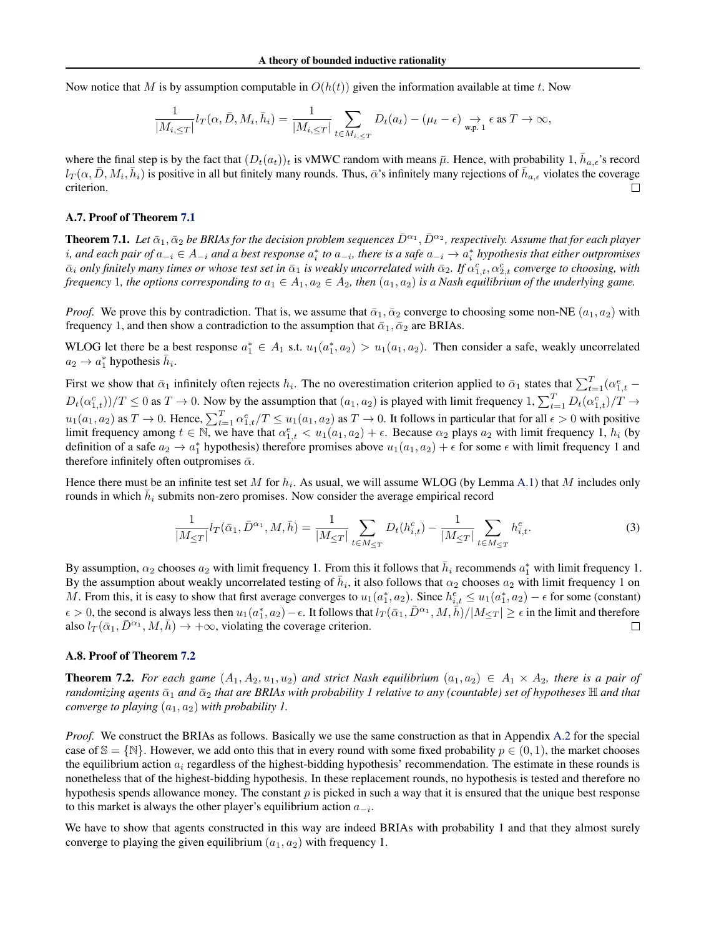Now notice that M is by assumption computable in  $O(h(t))$  given the information available at time t. Now

$$
\frac{1}{|M_{i,\leq T}|}l_T(\alpha,\bar{D},M_i,\bar{h}_i)=\frac{1}{|M_{i,\leq T}|}\sum_{t\in M_{i,\leq T}}D_t(a_t)-(\mu_t-\epsilon)\underset{\text{w.p. }1}{\rightarrow}\epsilon\text{ as }T\rightarrow\infty,
$$

where the final step is by the fact that  $(D_t(a_t))_t$  is vMWC random with means  $\bar{\mu}$ . Hence, with probability 1,  $\bar{h}_{a,\epsilon}$ 's record  $l_T(\alpha, \bar{D}, M_i, \bar{h}_i)$  is positive in all but finitely many rounds. Thus,  $\bar{\alpha}$ 's infinitely many rejections of  $\bar{h}_{a,\epsilon}$  violates the coverage criterion.  $\Box$ 

#### A.7. Proof of Theorem [7.1](#page-6-1)

**Theorem 7.1.** Let  $\bar{\alpha}_1, \bar{\alpha}_2$  be BRIAs for the decision problem sequences  $\bar{D}^{\alpha_1}, \bar{D}^{\alpha_2}$ , respectively. Assume that for each player *i*, and each pair of  $a_{-i} \in A_{-i}$  and a best response  $a_i^*$  to  $a_{-i}$ , there is a safe  $a_{-i} \to a_i^*$  hypothesis that either outpromises  $\bar\alpha_i$  *only finitely many times or whose test set in*  $\bar\alpha_1$  *is weakly uncorrelated with*  $\bar\alpha_2$ . If  $\alpha_{1,t}^c, \alpha_{2,t}^c$  *converge to choosing, with frequency* 1*, the options corresponding to*  $a_1 \in A_1$ ,  $a_2 \in A_2$ *, then*  $(a_1, a_2)$  *is a Nash equilibrium of the underlying game.* 

*Proof.* We prove this by contradiction. That is, we assume that  $\bar{\alpha}_1, \bar{\alpha}_2$  converge to choosing some non-NE  $(a_1, a_2)$  with frequency 1, and then show a contradiction to the assumption that  $\bar{\alpha}_1, \bar{\alpha}_2$  are BRIAs.

WLOG let there be a best response  $a_1^* \in A_1$  s.t.  $u_1(a_1^*, a_2) > u_1(a_1, a_2)$ . Then consider a safe, weakly uncorrelated  $a_2 \to a_1^*$  hypothesis  $\bar{h}_i$ .

First we show that  $\bar{\alpha}_1$  infinitely often rejects  $h_i$ . The no overestimation criterion applied to  $\bar{\alpha}_1$  states that  $\sum_{t=1}^T (\alpha_{1,t}^e D_t(\alpha_{1,t}^c))/T \leq 0$  as  $T \to 0$ . Now by the assumption that  $(a_1, a_2)$  is played with limit frequency  $1, \sum_{t=1}^T D_t(\alpha_{1,t}^c)/T \to$  $u_1(a_1, a_2)$  as  $T \to 0$ . Hence,  $\sum_{t=1}^T \alpha_{1,t}^e/T \le u_1(a_1, a_2)$  as  $T \to 0$ . It follows in particular that for all  $\epsilon > 0$  with positive limit frequency among  $t \in \mathbb{N}$ , we have that  $\alpha_{1,t}^e < u_1(a_1,a_2) + \epsilon$ . Because  $\alpha_2$  plays  $a_2$  with limit frequency 1,  $h_i$  (by definition of a safe  $a_2 \to a_1^*$  hypothesis) therefore promises above  $u_1(a_1, a_2) + \epsilon$  for some  $\epsilon$  with limit frequency 1 and therefore infinitely often outpromises  $\bar{\alpha}$ .

Hence there must be an infinite test set M for  $h_i$ . As usual, we will assume WLOG (by Lemma [A.1\)](#page-10-4) that M includes only rounds in which  $\bar{h}_i$  submits non-zero promises. Now consider the average empirical record

$$
\frac{1}{|M_{\leq T}|} l_T(\bar{\alpha}_1, \bar{D}^{\alpha_1}, M, \bar{h}) = \frac{1}{|M_{\leq T}|} \sum_{t \in M_{\leq T}} D_t(h_{i,t}^c) - \frac{1}{|M_{\leq T}|} \sum_{t \in M_{\leq T}} h_{i,t}^e.
$$
 (3)

By assumption,  $\alpha_2$  chooses  $a_2$  with limit frequency 1. From this it follows that  $\bar{h}_i$  recommends  $a_1^*$  with limit frequency 1. By the assumption about weakly uncorrelated testing of  $\bar{h}_i$ , it also follows that  $\alpha_2$  chooses  $a_2$  with limit frequency 1 on M. From this, it is easy to show that first average converges to  $u_1(a_1^*, a_2)$ . Since  $h_{i,t}^e \le u_1(a_1^*, a_2) - \epsilon$  for some (constant)  $\epsilon > 0$ , the second is always less then  $u_1(a_1^*, a_2) - \epsilon$ . It follows that  $l_T(\bar{a}_1, \bar{D}^{\alpha_1}, M, \bar{h})/|M_{\leq T}| \geq \epsilon$  in the limit and therefore also  $l_T(\bar{\alpha}_1, \bar{D}^{\alpha_1}, M, \bar{h}) \rightarrow +\infty$ , violating the coverage criterion.  $\Box$ 

#### A.8. Proof of Theorem [7.2](#page-6-2)

**Theorem 7.2.** For each game  $(A_1, A_2, u_1, u_2)$  and strict Nash equilibrium  $(a_1, a_2) \in A_1 \times A_2$ , there is a pair of *randomizing agents*  $\bar{\alpha}_1$  *and*  $\bar{\alpha}_2$  *that are BRIAs with probability 1 relative to any (countable) set of hypotheses*  $\mathbb H$  *and that converge to playing*  $(a_1, a_2)$  *with probability 1.* 

*Proof.* We construct the BRIAs as follows. Basically we use the same construction as that in Appendix [A.2](#page-10-5) for the special case of  $\mathbb{S} = \{\mathbb{N}\}\.$  However, we add onto this that in every round with some fixed probability  $p \in (0,1)$ , the market chooses the equilibrium action  $a_i$  regardless of the highest-bidding hypothesis' recommendation. The estimate in these rounds is nonetheless that of the highest-bidding hypothesis. In these replacement rounds, no hypothesis is tested and therefore no hypothesis spends allowance money. The constant  $p$  is picked in such a way that it is ensured that the unique best response to this market is always the other player's equilibrium action  $a_{-i}$ .

We have to show that agents constructed in this way are indeed BRIAs with probability 1 and that they almost surely converge to playing the given equilibrium  $(a_1, a_2)$  with frequency 1.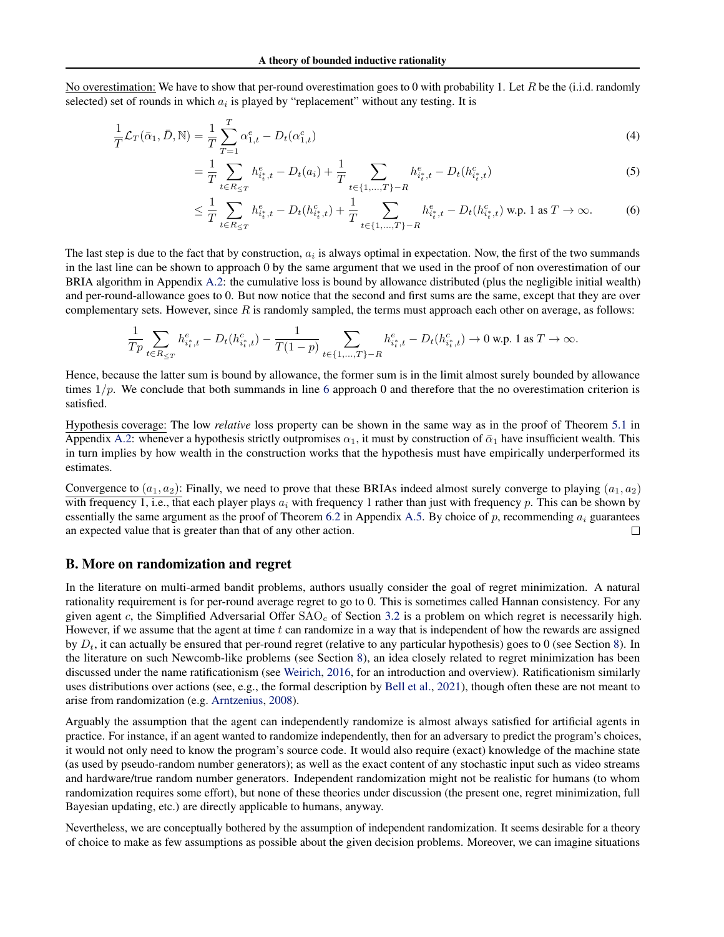No overestimation: We have to show that per-round overestimation goes to 0 with probability 1. Let R be the (i.i.d. randomly selected) set of rounds in which  $a_i$  is played by "replacement" without any testing. It is

$$
\frac{1}{T}\mathcal{L}_T(\bar{\alpha}_1, \bar{D}, \mathbb{N}) = \frac{1}{T} \sum_{T=1}^T \alpha_{1,t}^e - D_t(\alpha_{1,t}^c)
$$
\n(4)

$$
= \frac{1}{T} \sum_{t \in R_{\leq T}} h_{i_t, t}^e - D_t(a_i) + \frac{1}{T} \sum_{t \in \{1, \dots, T\} - R} h_{i_t, t}^e - D_t(h_{i_t, t}^c)
$$
(5)

<span id="page-15-1"></span>
$$
\leq \frac{1}{T} \sum_{t \in R_{\leq T}} h_{i_t, t}^e - D_t(h_{i_t, t}^c) + \frac{1}{T} \sum_{t \in \{1, \dots, T\} - R} h_{i_t, t}^e - D_t(h_{i_t, t}^c) \text{ w.p. 1 as } T \to \infty.
$$
 (6)

The last step is due to the fact that by construction,  $a_i$  is always optimal in expectation. Now, the first of the two summands in the last line can be shown to approach 0 by the same argument that we used in the proof of non overestimation of our BRIA algorithm in Appendix [A.2:](#page-10-5) the cumulative loss is bound by allowance distributed (plus the negligible initial wealth) and per-round-allowance goes to 0. But now notice that the second and first sums are the same, except that they are over complementary sets. However, since R is randomly sampled, the terms must approach each other on average, as follows:

$$
\frac{1}{Tp}\sum_{t\in R_{\leq T}}h^e_{i_t^*,t}-D_t(h^c_{i_t^*,t})-\frac{1}{T(1-p)}\sum_{t\in\{1,...,T\}-R}h^e_{i_t^*,t}-D_t(h^c_{i_t^*,t})\rightarrow 0\text{ w.p. 1 as }T\rightarrow\infty.
$$

Hence, because the latter sum is bound by allowance, the former sum is in the limit almost surely bounded by allowance times  $1/p$ . We conclude that both summands in line [6](#page-15-1) approach 0 and therefore that the no overestimation criterion is satisfied.

Hypothesis coverage: The low *relative* loss property can be shown in the same way as in the proof of Theorem [5.1](#page-4-1) in Appendix [A.2:](#page-10-5) whenever a hypothesis strictly outpromises  $\alpha_1$ , it must by construction of  $\bar{\alpha}_1$  have insufficient wealth. This in turn implies by how wealth in the construction works that the hypothesis must have empirically underperformed its estimates.

Convergence to  $(a_1, a_2)$ : Finally, we need to prove that these BRIAs indeed almost surely converge to playing  $(a_1, a_2)$ with frequency 1, i.e., that each player plays  $a_i$  with frequency 1 rather than just with frequency p. This can be shown by essentially the same argument as the proof of Theorem [6.2](#page-5-4) in Appendix [A.5.](#page-13-0) By choice of  $p$ , recommending  $a_i$  guarantees an expected value that is greater than that of any other action. П

### <span id="page-15-0"></span>B. More on randomization and regret

In the literature on multi-armed bandit problems, authors usually consider the goal of regret minimization. A natural rationality requirement is for per-round average regret to go to 0. This is sometimes called Hannan consistency. For any given agent c, the Simplified Adversarial Offer  $SAO<sub>c</sub>$  of Section [3.2](#page-2-0) is a problem on which regret is necessarily high. However, if we assume that the agent at time  $t$  can randomize in a way that is independent of how the rewards are assigned by  $D_t$ , it can actually be ensured that per-round regret (relative to any particular hypothesis) goes to 0 (see Section [8\)](#page-6-0). In the literature on such Newcomb-like problems (see Section [8\)](#page-6-0), an idea closely related to regret minimization has been discussed under the name ratificationism (see [Weirich,](#page-9-20) [2016,](#page-9-20) for an introduction and overview). Ratificationism similarly uses distributions over actions (see, e.g., the formal description by [Bell et al.,](#page-8-21) [2021\)](#page-8-21), though often these are not meant to arise from randomization (e.g. [Arntzenius,](#page-8-22) [2008\)](#page-8-22).

Arguably the assumption that the agent can independently randomize is almost always satisfied for artificial agents in practice. For instance, if an agent wanted to randomize independently, then for an adversary to predict the program's choices, it would not only need to know the program's source code. It would also require (exact) knowledge of the machine state (as used by pseudo-random number generators); as well as the exact content of any stochastic input such as video streams and hardware/true random number generators. Independent randomization might not be realistic for humans (to whom randomization requires some effort), but none of these theories under discussion (the present one, regret minimization, full Bayesian updating, etc.) are directly applicable to humans, anyway.

Nevertheless, we are conceptually bothered by the assumption of independent randomization. It seems desirable for a theory of choice to make as few assumptions as possible about the given decision problems. Moreover, we can imagine situations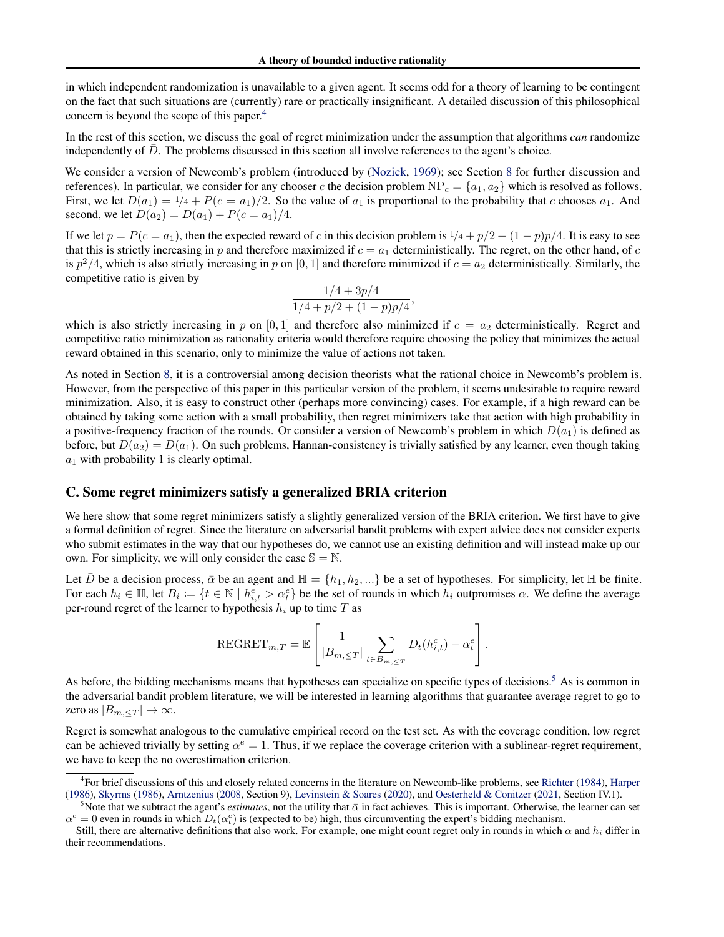in which independent randomization is unavailable to a given agent. It seems odd for a theory of learning to be contingent on the fact that such situations are (currently) rare or practically insignificant. A detailed discussion of this philosophical concern is beyond the scope of this paper.[4](#page-16-1)

In the rest of this section, we discuss the goal of regret minimization under the assumption that algorithms *can* randomize independently of  $\bar{D}$ . The problems discussed in this section all involve references to the agent's choice.

We consider a version of Newcomb's problem (introduced by [\(Nozick,](#page-8-17) [1969\)](#page-8-17); see Section [8](#page-6-0) for further discussion and references). In particular, we consider for any chooser c the decision problem  $NP_c = \{a_1, a_2\}$  which is resolved as follows. First, we let  $D(a_1) = 1/4 + P(c = a_1)/2$ . So the value of  $a_1$  is proportional to the probability that c chooses  $a_1$ . And second, we let  $D(a_2) = D(a_1) + P(c = a_1)/4$ .

If we let  $p = P(c = a_1)$ , then the expected reward of c in this decision problem is  $1/4 + p/2 + (1 - p)p/4$ . It is easy to see that this is strictly increasing in p and therefore maximized if  $c = a_1$  deterministically. The regret, on the other hand, of c is  $p^2/4$ , which is also strictly increasing in p on [0, 1] and therefore minimized if  $c = a_2$  deterministically. Similarly, the competitive ratio is given by

$$
\frac{1/4 + 3p/4}{1/4 + p/2 + (1 - p)p/4},
$$

which is also strictly increasing in p on [0,1] and therefore also minimized if  $c = a_2$  deterministically. Regret and competitive ratio minimization as rationality criteria would therefore require choosing the policy that minimizes the actual reward obtained in this scenario, only to minimize the value of actions not taken.

As noted in Section [8,](#page-6-0) it is a controversial among decision theorists what the rational choice in Newcomb's problem is. However, from the perspective of this paper in this particular version of the problem, it seems undesirable to require reward minimization. Also, it is easy to construct other (perhaps more convincing) cases. For example, if a high reward can be obtained by taking some action with a small probability, then regret minimizers take that action with high probability in a positive-frequency fraction of the rounds. Or consider a version of Newcomb's problem in which  $D(a_1)$  is defined as before, but  $D(a_2) = D(a_1)$ . On such problems, Hannan-consistency is trivially satisfied by any learner, even though taking  $a_1$  with probability 1 is clearly optimal.

### <span id="page-16-0"></span>C. Some regret minimizers satisfy a generalized BRIA criterion

We here show that some regret minimizers satisfy a slightly generalized version of the BRIA criterion. We first have to give a formal definition of regret. Since the literature on adversarial bandit problems with expert advice does not consider experts who submit estimates in the way that our hypotheses do, we cannot use an existing definition and will instead make up our own. For simplicity, we will only consider the case  $\mathbb{S} = \mathbb{N}$ .

Let  $\bar{D}$  be a decision process,  $\bar{\alpha}$  be an agent and  $\mathbb{H} = \{h_1, h_2, ...\}$  be a set of hypotheses. For simplicity, let  $\mathbb{H}$  be finite. For each  $h_i \in \mathbb{H}$ , let  $B_i := \{t \in \mathbb{N} \mid h_{i,t}^e > \alpha_t^e\}$  be the set of rounds in which  $h_i$  outpromises  $\alpha$ . We define the average per-round regret of the learner to hypothesis  $h_i$  up to time T as

$$
\text{REGRET}_{m,T} = \mathbb{E}\left[\frac{1}{|B_{m,\leq T}|}\sum_{t \in B_{m,\leq T}} D_t(h_{i,t}^c) - \alpha_t^e\right].
$$

As before, the bidding mechanisms means that hypotheses can specialize on specific types of decisions.<sup>[5](#page-16-2)</sup> As is common in the adversarial bandit problem literature, we will be interested in learning algorithms that guarantee average regret to go to zero as  $|B_{m,.$ 

Regret is somewhat analogous to the cumulative empirical record on the test set. As with the coverage condition, low regret can be achieved trivially by setting  $\alpha^e = 1$ . Thus, if we replace the coverage criterion with a sublinear-regret requirement, we have to keep the no overestimation criterion.

<span id="page-16-1"></span><sup>4</sup> For brief discussions of this and closely related concerns in the literature on Newcomb-like problems, see [Richter](#page-9-21) [\(1984\)](#page-9-21), [Harper](#page-8-23) [\(1986\)](#page-8-23), [Skyrms](#page-9-22) [\(1986\)](#page-9-22), [Arntzenius](#page-8-22) [\(2008,](#page-8-22) Section 9), [Levinstein & Soares](#page-8-24) [\(2020\)](#page-8-24), and [Oesterheld & Conitzer](#page-9-8) [\(2021,](#page-9-8) Section IV.1).

<span id="page-16-2"></span><sup>&</sup>lt;sup>5</sup>Note that we subtract the agent's *estimates*, not the utility that  $\bar{\alpha}$  in fact achieves. This is important. Otherwise, the learner can set  $\alpha^e = 0$  even in rounds in which  $D_t(\alpha_t^e)$  is (expected to be) high, thus circumventing the expert's bidding mechanism.

Still, there are alternative definitions that also work. For example, one might count regret only in rounds in which  $\alpha$  and  $h_i$  differ in their recommendations.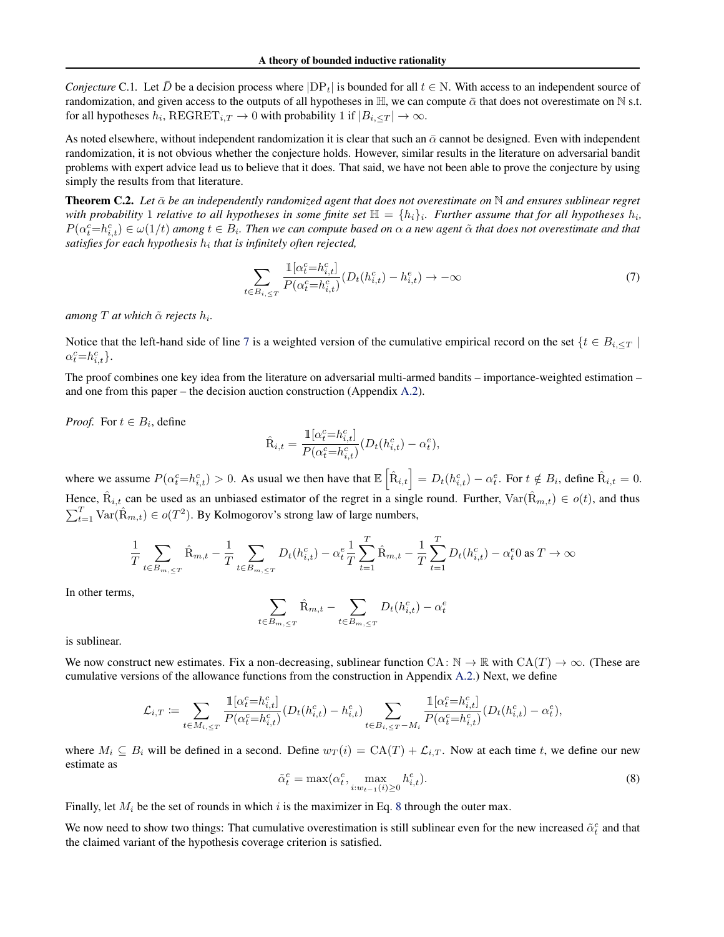*Conjecture* C.1. Let D be a decision process where  $|DP_t|$  is bounded for all  $t \in N$ . With access to an independent source of randomization, and given access to the outputs of all hypotheses in H, we can compute  $\bar{\alpha}$  that does not overestimate on N s.t. for all hypotheses  $h_i$ ,  $\text{REGRET}_{i,T} \to 0$  with probability 1 if  $|B_{i,\leq T}| \to \infty$ .

As noted elsewhere, without independent randomization it is clear that such an  $\bar{\alpha}$  cannot be designed. Even with independent randomization, it is not obvious whether the conjecture holds. However, similar results in the literature on adversarial bandit problems with expert advice lead us to believe that it does. That said, we have not been able to prove the conjecture by using simply the results from that literature.

**Theorem C.2.** Let  $\bar{\alpha}$  be an independently randomized agent that does not overestimate on  $\bar{N}$  and ensures sublinear regret with probability 1 relative to all hypotheses in some finite set  $\mathbb{H} = \{h_i\}_i$ . Further assume that for all hypotheses  $h_i$ ,  $P(\alpha_t^c=h_{i,t}^c) \in \omega(1/t)$  among  $t \in B_i$ . Then we can compute based on  $\alpha$  a new agent  $\tilde{\alpha}$  that does not overestimate and that *satisfies for each hypothesis* h<sup>i</sup> *that is infinitely often rejected,*

<span id="page-17-0"></span>
$$
\sum_{t \in B_{i,\leq T}} \frac{\mathbb{1}[\alpha_t^c = h_{i,t}^c]}{P(\alpha_t^c = h_{i,t}^c)} (D_t(h_{i,t}^c) - h_{i,t}^e) \to -\infty
$$
\n(7)

*among T at which*  $\tilde{\alpha}$  *rejects*  $h_i$ *.* 

Notice that the left-hand side of line [7](#page-17-0) is a weighted version of the cumulative empirical record on the set  $\{t \in B_{i,\leq T} \mid$  $\alpha_t^c = h_{i,t}^c$ .

The proof combines one key idea from the literature on adversarial multi-armed bandits – importance-weighted estimation – and one from this paper – the decision auction construction (Appendix [A.2\)](#page-10-5).

*Proof.* For  $t \in B_i$ , define

$$
\hat{\mathbf{R}}_{i,t} = \frac{\mathbb{1}[\alpha_t^c = h_{i,t}^c]}{P(\alpha_t^c = h_{i,t}^c)} (D_t(h_{i,t}^c) - \alpha_t^e),
$$

where we assume  $P(\alpha_t^c = h_{i,t}^c) > 0$ . As usual we then have that  $\mathbb{E} \left[ \hat{R}_{i,t} \right] = D_t(h_{i,t}^c) - \alpha_t^e$ . For  $t \notin B_i$ , define  $\hat{R}_{i,t} = 0$ . Hence,  $\hat{R}_{i,t}$  can be used as an unbiased estimator of the regret in a single round. Further,  $\text{Var}(\hat{R}_{m,t}) \in o(t)$ , and thus  $\sum_{t=1}^{T} \text{Var}(\hat{R}_{m,t}) \in o(T^2)$ . By Kolmogorov's strong law of large numbers,

$$
\frac{1}{T} \sum_{t \in B_{m,\leq T}} \hat{R}_{m,t} - \frac{1}{T} \sum_{t \in B_{m,\leq T}} D_t(h_{i,t}^c) - \alpha_t^e \frac{1}{T} \sum_{t=1}^T \hat{R}_{m,t} - \frac{1}{T} \sum_{t=1}^T D_t(h_{i,t}^c) - \alpha_t^e 0 \text{ as } T \to \infty
$$

In other terms,

$$
\sum_{t \in B_{m,\leq T}} \hat{R}_{m,t} - \sum_{t \in B_{m,\leq T}} D_t(h_{i,t}^c) - \alpha_t^e
$$

is sublinear.

We now construct new estimates. Fix a non-decreasing, sublinear function CA:  $\mathbb{N} \to \mathbb{R}$  with  $CA(T) \to \infty$ . (These are cumulative versions of the allowance functions from the construction in Appendix [A.2.](#page-10-5)) Next, we define

$$
\mathcal{L}_{i,T} := \sum_{t \in M_{i,\leq T}} \frac{\mathbb{1}[ \alpha^c_t = h^c_{i,t}]}{P(\alpha^c_t = h^c_{i,t})} (D_t(h^c_{i,t}) - h^e_{i,t}) \sum_{t \in B_{i,\leq T} - M_i} \frac{\mathbb{1}[ \alpha^c_t = h^c_{i,t}]}{P(\alpha^c_t = h^c_{i,t})} (D_t(h^c_{i,t}) - \alpha^e_t),
$$

<span id="page-17-1"></span>where  $M_i \subseteq B_i$  will be defined in a second. Define  $w_T(i) = CA(T) + \mathcal{L}_{i,T}$ . Now at each time t, we define our new estimate as

$$
\tilde{\alpha}_t^e = \max(\alpha_t^e, \max_{i:w_{t-1}(i)\geq 0} h_{i,t}^e). \tag{8}
$$

Finally, let  $M_i$  be the set of rounds in which i is the maximizer in Eq. [8](#page-17-1) through the outer max.

We now need to show two things: That cumulative overestimation is still sublinear even for the new increased  $\tilde{\alpha}_t^e$  and that the claimed variant of the hypothesis coverage criterion is satisfied.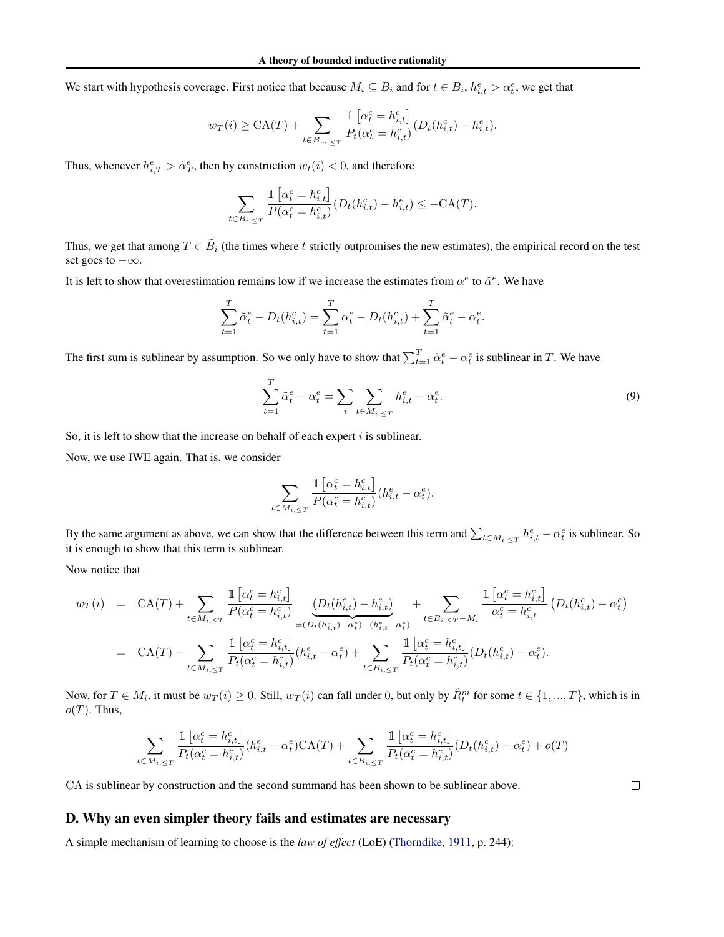We start with hypothesis coverage. First notice that because  $M_i \subseteq B_i$  and for  $t \in B_i$ ,  $h_{i,t}^e > \alpha_t^e$ , we get that

$$
w_T(i) \geq \text{CA}(T) + \sum_{t \in B_{m, \leq T}} \frac{1 \left[ \alpha_t^c = h_{i,t}^c \right]}{P_t(\alpha_t^c = h_{i,t}^c)} (D_t(h_{i,t}^c) - h_{i,t}^e).
$$

Thus, whenever  $h_{i,T}^e > \tilde{\alpha}_T^e$ , then by construction  $w_t(i) < 0$ , and therefore

$$
\sum_{t \in B_{i,\leq T}} \frac{\mathbb{1} \left[ \alpha_t^c = h_{i,t}^c \right]}{P(\alpha_t^c = h_{i,t}^c)} (D_t(h_{i,t}^c) - h_{i,t}^e) \leq -CA(T).
$$

Thus, we get that among  $T \in \tilde{B}_i$  (the times where t strictly outpromises the new estimates), the empirical record on the test set goes to  $-\infty$ .

It is left to show that overestimation remains low if we increase the estimates from  $\alpha^e$  to  $\tilde{\alpha}^e$ . We have

$$
\sum_{t=1}^{T} \tilde{\alpha}_t^e - D_t(h_{i,t}^c) = \sum_{t=1}^{T} \alpha_t^e - D_t(h_{i,t}^c) + \sum_{t=1}^{T} \tilde{\alpha}_t^e - \alpha_t^e.
$$

The first sum is sublinear by assumption. So we only have to show that  $\sum_{t=1}^{T} \tilde{\alpha}_t^e - \alpha_t^e$  is sublinear in T. We have

$$
\sum_{t=1}^{T} \tilde{\alpha}_t^e - \alpha_t^e = \sum_i \sum_{t \in M_{i, \le T}} h_{i, t}^e - \alpha_t^e. \tag{9}
$$

So, it is left to show that the increase on behalf of each expert  $i$  is sublinear.

Now, we use IWE again. That is, we consider

$$
\sum_{t \in M_{i,\leq T}} \frac{\mathbb{1}\left[\alpha_t^c = h_{i,t}^c\right]}{P(\alpha_t^c = h_{i,t}^c)} (h_{i,t}^e - \alpha_t^e).
$$

By the same argument as above, we can show that the difference between this term and  $\sum_{t \in M_{i,\leq T}} h_{i,t}^e - \alpha_t^e$  is sublinear. So it is enough to show that this term is sublinear.

Now notice that

$$
w_T(i) = CA(T) + \sum_{t \in M_{i,\leq T}} \frac{\mathbb{1}\left[\alpha_t^c = h_{i,t}^c\right]}{P(\alpha_t^c = h_{i,t}^c)} \underbrace{\left(D_t(h_{i,t}^c) - h_{i,t}^e\right)}_{= (D_t(h_{i,t}^c) - \alpha_t^c) - (h_{i,t}^c - \alpha_t^c)} + \sum_{t \in B_{i,\leq T} - M_i} \frac{\mathbb{1}\left[\alpha_t^c = h_{i,t}^c\right]}{\alpha_t^c = h_{i,t}^c} \left(D_t(h_{i,t}^c) - \alpha_t^e\right)
$$
  
\n
$$
= CA(T) - \sum_{t \in M_{i,\leq T}} \frac{\mathbb{1}\left[\alpha_t^c = h_{i,t}^c\right]}{P_t(\alpha_t^c = h_{i,t}^c)} (h_{i,t}^e - \alpha_t^e) + \sum_{t \in B_{i,\leq T}} \frac{\mathbb{1}\left[\alpha_t^c = h_{i,t}^c\right]}{P_t(\alpha_t^c = h_{i,t}^c)} (D_t(h_{i,t}^c) - \alpha_t^e).
$$

Now, for  $T \in M_i$ , it must be  $w_T(i) \ge 0$ . Still,  $w_T(i)$  can fall under 0, but only by  $\hat{R}_t^m$  for some  $t \in \{1, ..., T\}$ , which is in  $o(T)$ . Thus,

$$
\sum_{t\in M_{i,\leq T}}\frac{\mathbbm{1}\left[\alpha_t^c=h_{i,t}^c\right]}{P_t(\alpha_t^c=h_{i,t}^c)}(h_{i,t}^e-\alpha_t^e)\mathrm{CA}(T)+\sum_{t\in B_{i,\leq T}}\frac{\mathbbm{1}\left[\alpha_t^c=h_{i,t}^c\right]}{P_t(\alpha_t^c=h_{i,t}^c)}(D_t(h_{i,t}^c)-\alpha_t^e)+o(T)
$$

CA is sublinear by construction and the second summand has been shown to be sublinear above.

## <span id="page-18-0"></span>D. Why an even simpler theory fails and estimates are necessary

A simple mechanism of learning to choose is the *law of effect* (LoE) [\(Thorndike,](#page-9-23) [1911,](#page-9-23) p. 244):

 $\Box$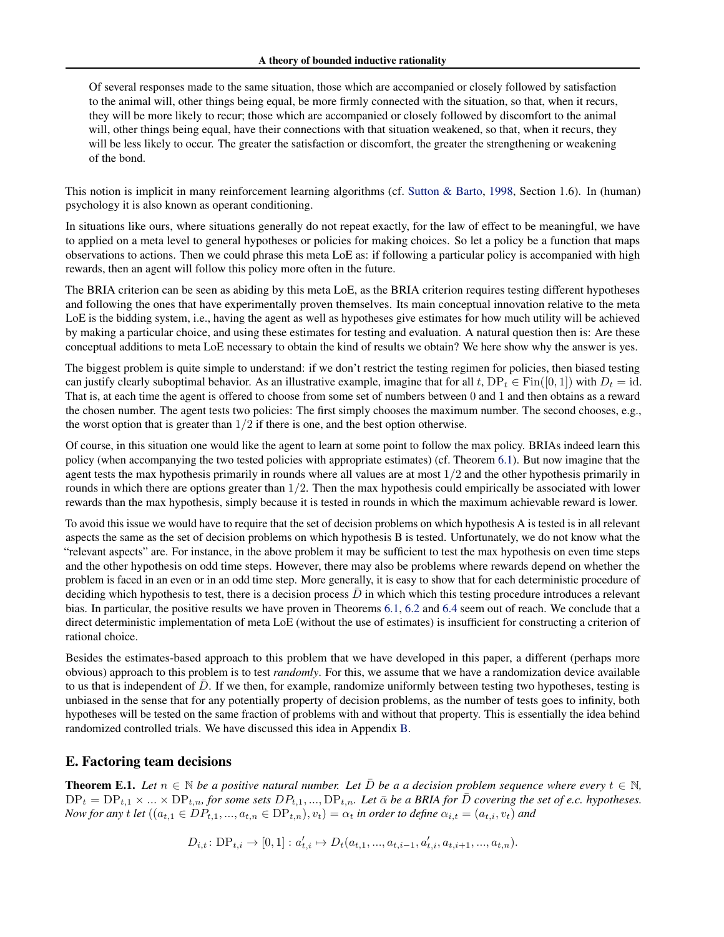Of several responses made to the same situation, those which are accompanied or closely followed by satisfaction to the animal will, other things being equal, be more firmly connected with the situation, so that, when it recurs, they will be more likely to recur; those which are accompanied or closely followed by discomfort to the animal will, other things being equal, have their connections with that situation weakened, so that, when it recurs, they will be less likely to occur. The greater the satisfaction or discomfort, the greater the strengthening or weakening of the bond.

This notion is implicit in many reinforcement learning algorithms (cf. [Sutton & Barto,](#page-9-24) [1998,](#page-9-24) Section 1.6). In (human) psychology it is also known as operant conditioning.

In situations like ours, where situations generally do not repeat exactly, for the law of effect to be meaningful, we have to applied on a meta level to general hypotheses or policies for making choices. So let a policy be a function that maps observations to actions. Then we could phrase this meta LoE as: if following a particular policy is accompanied with high rewards, then an agent will follow this policy more often in the future.

The BRIA criterion can be seen as abiding by this meta LoE, as the BRIA criterion requires testing different hypotheses and following the ones that have experimentally proven themselves. Its main conceptual innovation relative to the meta LoE is the bidding system, i.e., having the agent as well as hypotheses give estimates for how much utility will be achieved by making a particular choice, and using these estimates for testing and evaluation. A natural question then is: Are these conceptual additions to meta LoE necessary to obtain the kind of results we obtain? We here show why the answer is yes.

The biggest problem is quite simple to understand: if we don't restrict the testing regimen for policies, then biased testing can justify clearly suboptimal behavior. As an illustrative example, imagine that for all t,  $DP_t \in Fin([0,1])$  with  $D_t = id$ . That is, at each time the agent is offered to choose from some set of numbers between 0 and 1 and then obtains as a reward the chosen number. The agent tests two policies: The first simply chooses the maximum number. The second chooses, e.g., the worst option that is greater than  $1/2$  if there is one, and the best option otherwise.

Of course, in this situation one would like the agent to learn at some point to follow the max policy. BRIAs indeed learn this policy (when accompanying the two tested policies with appropriate estimates) (cf. Theorem [6.1\)](#page-5-3). But now imagine that the agent tests the max hypothesis primarily in rounds where all values are at most  $1/2$  and the other hypothesis primarily in rounds in which there are options greater than  $1/2$ . Then the max hypothesis could empirically be associated with lower rewards than the max hypothesis, simply because it is tested in rounds in which the maximum achievable reward is lower.

To avoid this issue we would have to require that the set of decision problems on which hypothesis A is tested is in all relevant aspects the same as the set of decision problems on which hypothesis B is tested. Unfortunately, we do not know what the "relevant aspects" are. For instance, in the above problem it may be sufficient to test the max hypothesis on even time steps and the other hypothesis on odd time steps. However, there may also be problems where rewards depend on whether the problem is faced in an even or in an odd time step. More generally, it is easy to show that for each deterministic procedure of deciding which hypothesis to test, there is a decision process  $D$  in which which this testing procedure introduces a relevant bias. In particular, the positive results we have proven in Theorems [6.1,](#page-5-3) [6.2](#page-5-4) and [6.4](#page-5-7) seem out of reach. We conclude that a direct deterministic implementation of meta LoE (without the use of estimates) is insufficient for constructing a criterion of rational choice.

Besides the estimates-based approach to this problem that we have developed in this paper, a different (perhaps more obvious) approach to this problem is to test *randomly*. For this, we assume that we have a randomization device available to us that is independent of D. If we then, for example, randomize uniformly between testing two hypotheses, testing is unbiased in the sense that for any potentially property of decision problems, as the number of tests goes to infinity, both hypotheses will be tested on the same fraction of problems with and without that property. This is essentially the idea behind randomized controlled trials. We have discussed this idea in Appendix [B.](#page-15-0)

## E. Factoring team decisions

**Theorem E.1.** Let  $n \in \mathbb{N}$  be a positive natural number. Let  $\overline{D}$  be a a decision problem sequence where every  $t \in \mathbb{N}$ ,  $DP_t = DP_{t,1} \times ... \times DP_{t,n}$ , for some sets  $DP_{t,1}, ..., DP_{t,n}$ . Let  $\bar{\alpha}$  be a BRIA for  $\bar{D}$  covering the set of e.c. hypotheses. *Now for any* t *let*  $((a_{t,1} \in DP_{t,1},...,a_{t,n} \in DP_{t,n}), v_t) = \alpha_t$  *in order to define*  $\alpha_{i,t} = (a_{t,i}, v_t)$  *and* 

$$
D_{i,t} \colon \text{DP}_{t,i} \to [0,1] : a'_{t,i} \mapsto D_t(a_{t,1},...,a_{t,i-1},a'_{t,i},a_{t,i+1},...,a_{t,n}).
$$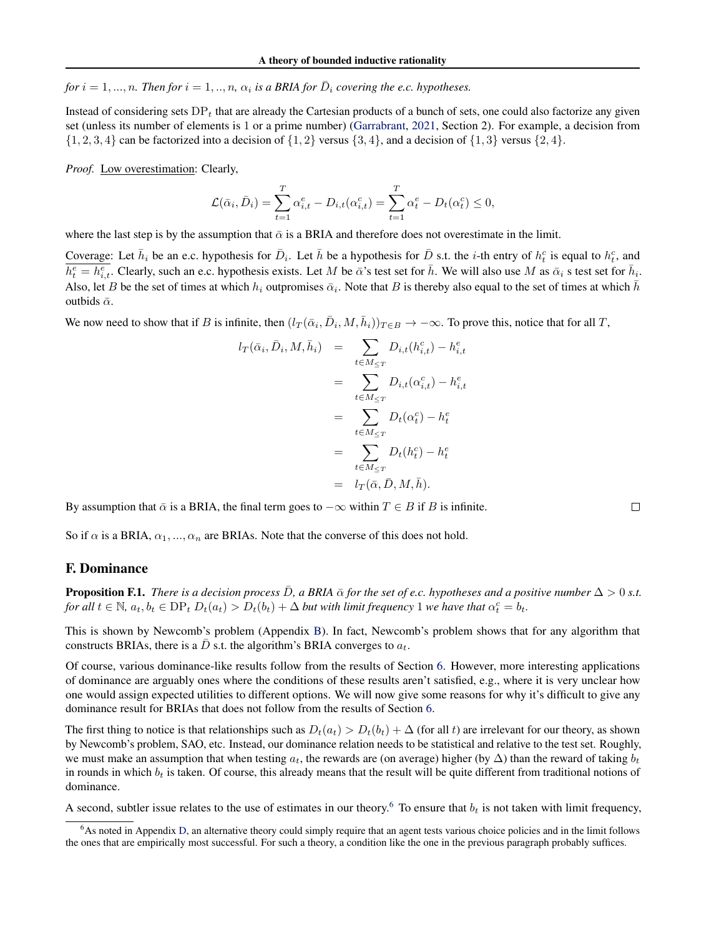*for*  $i = 1, ..., n$ . Then for  $i = 1, ..., n$ ,  $\alpha_i$  is a BRIA for  $\overline{D}_i$  covering the e.c. hypotheses.

Instead of considering sets  $DP_t$  that are already the Cartesian products of a bunch of sets, one could also factorize any given set (unless its number of elements is 1 or a prime number) [\(Garrabrant,](#page-8-25) [2021,](#page-8-25) Section 2). For example, a decision from  $\{1, 2, 3, 4\}$  can be factorized into a decision of  $\{1, 2\}$  versus  $\{3, 4\}$ , and a decision of  $\{1, 3\}$  versus  $\{2, 4\}$ .

*Proof.* Low overestimation: Clearly,

$$
\mathcal{L}(\bar{\alpha}_i, \bar{D}_i) = \sum_{t=1}^T \alpha_{i,t}^e - D_{i,t}(\alpha_{i,t}^c) = \sum_{t=1}^T \alpha_t^e - D_t(\alpha_t^c) \le 0,
$$

where the last step is by the assumption that  $\bar{\alpha}$  is a BRIA and therefore does not overestimate in the limit.

Coverage: Let  $\bar{h}_i$  be an e.c. hypothesis for  $\bar{D}_i$ . Let  $\bar{h}$  be a hypothesis for  $\bar{D}$  s.t. the *i*-th entry of  $h_t^c$  is equal to  $h_t^c$ , and  $\overline{h_t^e = h_{i,t}^e}$ . Clearly, such an e.c. hypothesis exists. Let M be  $\bar{\alpha}$ 's test set for  $\bar{h}$ . We will also use M as  $\bar{\alpha}_i$  s test set for  $\bar{h}_i$ . Also, let B be the set of times at which  $h_i$  outpromises  $\bar{\alpha}_i$ . Note that B is thereby also equal to the set of times at which  $\bar{h}$ outbids  $\bar{\alpha}$ .

We now need to show that if B is infinite, then  $(l_T(\bar{\alpha}_i, \bar{D}_i, M, \bar{h}_i))_{T \in B} \to -\infty$ . To prove this, notice that for all T,

$$
l_T(\bar{\alpha}_i, \bar{D}_i, M, \bar{h}_i) = \sum_{t \in M \le T} D_{i,t}(h_{i,t}^c) - h_{i,t}^e
$$
  

$$
= \sum_{t \in M \le T} D_{i,t}(\alpha_{i,t}^c) - h_{i,t}^e
$$
  

$$
= \sum_{t \in M \le T} D_t(\alpha_t^c) - h_t^e
$$
  

$$
= \sum_{t \in M \le T} D_t(h_t^c) - h_t^e
$$
  

$$
= l_T(\bar{\alpha}, \bar{D}, M, \bar{h}).
$$

By assumption that  $\bar{\alpha}$  is a BRIA, the final term goes to  $-\infty$  within  $T \in B$  if B is infinite.

So if  $\alpha$  is a BRIA,  $\alpha_1, ..., \alpha_n$  are BRIAs. Note that the converse of this does not hold.

### F. Dominance

**Proposition F.1.** *There is a decision process*  $\bar{D}$ , a BRIA  $\bar{\alpha}$  for the set of e.c. hypotheses and a positive number  $\Delta > 0$  *s.t. for all*  $t \in \mathbb{N}$ ,  $a_t, b_t \in \text{DP}_t$   $D_t(a_t) > D_t(b_t) + \Delta$  *but with limit frequency* 1 *we have that*  $\alpha_t^c = b_t$ .

This is shown by Newcomb's problem (Appendix [B\)](#page-15-0). In fact, Newcomb's problem shows that for any algorithm that constructs BRIAs, there is a  $\bar{D}$  s.t. the algorithm's BRIA converges to  $a_t$ .

Of course, various dominance-like results follow from the results of Section [6.](#page-5-8) However, more interesting applications of dominance are arguably ones where the conditions of these results aren't satisfied, e.g., where it is very unclear how one would assign expected utilities to different options. We will now give some reasons for why it's difficult to give any dominance result for BRIAs that does not follow from the results of Section [6.](#page-5-8)

The first thing to notice is that relationships such as  $D_t(a_t) > D_t(b_t) + \Delta$  (for all t) are irrelevant for our theory, as shown by Newcomb's problem, SAO, etc. Instead, our dominance relation needs to be statistical and relative to the test set. Roughly, we must make an assumption that when testing  $a_t$ , the rewards are (on average) higher (by  $\Delta$ ) than the reward of taking  $b_t$ in rounds in which  $b_t$  is taken. Of course, this already means that the result will be quite different from traditional notions of dominance.

A second, subtler issue relates to the use of estimates in our theory.<sup>[6](#page-20-0)</sup> To ensure that  $b_t$  is not taken with limit frequency,

 $\Box$ 

<span id="page-20-0"></span><sup>&</sup>lt;sup>6</sup>As noted in Appendix [D,](#page-18-0) an alternative theory could simply require that an agent tests various choice policies and in the limit follows the ones that are empirically most successful. For such a theory, a condition like the one in the previous paragraph probably suffices.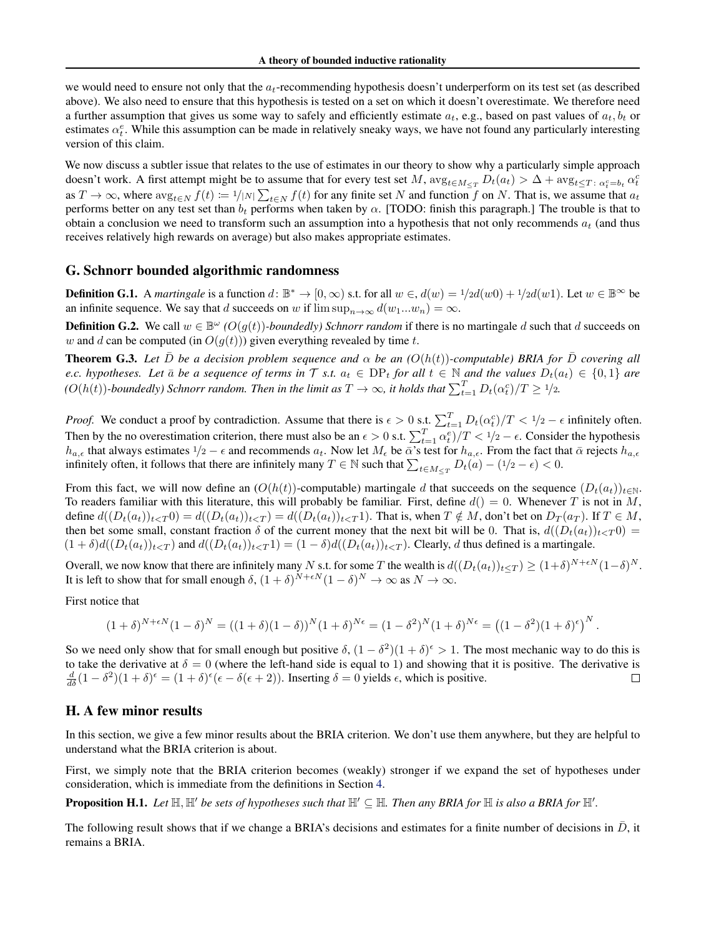we would need to ensure not only that the  $a_t$ -recommending hypothesis doesn't underperform on its test set (as described above). We also need to ensure that this hypothesis is tested on a set on which it doesn't overestimate. We therefore need a further assumption that gives us some way to safely and efficiently estimate  $a_t$ , e.g., based on past values of  $a_t$ ,  $b_t$  or estimates  $\alpha_t^e$ . While this assumption can be made in relatively sneaky ways, we have not found any particularly interesting version of this claim.

We now discuss a subtler issue that relates to the use of estimates in our theory to show why a particularly simple approach doesn't work. A first attempt might be to assume that for every test set M,  $\arg_{t \in M_{\leq T}} D_t(a_t) > \Delta + \arg_{t \leq T} \alpha_t^c = b_t \alpha_t^c$ as  $T \to \infty$ , where  $\arg_{t \in N} f(t) \coloneqq \frac{1}{|N|} \sum_{t \in N} f(t)$  for any finite set N and function f on N. That is, we assume that  $a_t$ performs better on any test set than  $b_t$  performs when taken by  $\alpha$ . [TODO: finish this paragraph.] The trouble is that to obtain a conclusion we need to transform such an assumption into a hypothesis that not only recommends  $a_t$  (and thus receives relatively high rewards on average) but also makes appropriate estimates.

#### G. Schnorr bounded algorithmic randomness

**Definition G.1.** A *martingale* is a function  $d: \mathbb{B}^* \to [0, \infty)$  s.t. for all  $w \in A(w) = 1/2d(w0) + 1/2d(w1)$ . Let  $w \in \mathbb{B}^{\infty}$  be an infinite sequence. We say that d succeeds on w if  $\limsup_{n\to\infty} d(w_1...w_n) = \infty$ .

**Definition G.2.** We call  $w \in \mathbb{B}^{\omega}$  ( $O(g(t))$ *-boundedly) Schnorr random* if there is no martingale d such that d succeeds on w and d can be computed (in  $O(q(t))$ ) given everything revealed by time t.

**Theorem G.3.** Let D be a decision problem sequence and  $\alpha$  be an  $(O(h(t))$ -computable) BRIA for D covering all *e.c. hypotheses. Let*  $\bar{a}$  *be a sequence of terms in* T *s.t.*  $a_t \in DP_t$  *for all*  $t \in \mathbb{N}$  *and the values*  $D_t(a_t) \in \{0,1\}$  *are*  $(O(h(t))$ -boundedly) Schnorr random. Then in the limit as  $T\to\infty$ , it holds that  $\sum_{t=1}^T D_t(\alpha_t^c)/T\geq 1/2$ .

*Proof.* We conduct a proof by contradiction. Assume that there is  $\epsilon > 0$  s.t.  $\sum_{t=1}^{T} D_t(\alpha_t^c)/T < 1/2 - \epsilon$  infinitely often. Then by the no overestimation criterion, there must also be an  $\epsilon > 0$  s.t.  $\sum_{t=1}^{T} \alpha_t^e)/T < 1/2 - \epsilon$ . Consider the hypothesis  $h_{a,\epsilon}$  that always estimates  $1/2 - \epsilon$  and recommends  $a_t$ . Now let  $M_{\epsilon}$  be  $\bar{\alpha}'$ 's test for  $h_{a,\epsilon}$ . From the fact that  $\bar{\alpha}$  rejects  $h_{a,\epsilon}$ infinitely often, it follows that there are infinitely many  $T \in \mathbb{N}$  such that  $\sum_{t \in M_{\leq T}} D_t(a) - (1/2 - \epsilon) < 0$ .

From this fact, we will now define an  $(O(h(t))$ -computable) martingale d that succeeds on the sequence  $(D_t(a_t))_{t\in\mathbb{N}}$ . To readers familiar with this literature, this will probably be familiar. First, define  $d() = 0$ . Whenever T is not in M, define  $d((D_t(a_t))_{t\leq T}$   $0) = d((D_t(a_t))_{t\leq T}) = d((D_t(a_t))_{t\leq T}$  1). That is, when  $T \notin M$ , don't bet on  $D_T(a_T)$ . If  $T \in M$ , then bet some small, constant fraction  $\delta$  of the current money that the next bit will be 0. That is,  $d((D_t(a_t))_{t\leq T}0)$  $(1 + \delta)d((D_t(a_t))_{t \le T})$  and  $d((D_t(a_t))_{t \le T}) = (1 - \delta)d((D_t(a_t))_{t \le T})$ . Clearly, d thus defined is a martingale.

Overall, we now know that there are infinitely many N s.t. for some T the wealth is  $d((D_t(a_t))_{t\leq T}) \geq (1+\delta)^{N+\epsilon N}(1-\delta)^N$ . It is left to show that for small enough  $\delta$ ,  $(1 + \delta)^{N+\epsilon N} (1 - \delta)^N \to \infty$  as  $N \to \infty$ .

First notice that

$$
(1+\delta)^{N+\epsilon N} (1-\delta)^N = ((1+\delta)(1-\delta))^N (1+\delta)^{N\epsilon} = (1-\delta^2)^N (1+\delta)^{N\epsilon} = ((1-\delta^2)(1+\delta)^{\epsilon})^N.
$$

So we need only show that for small enough but positive  $\delta$ ,  $(1 - \delta^2)(1 + \delta)^{\epsilon} > 1$ . The most mechanic way to do this is to take the derivative at  $\delta = 0$  (where the left-hand side is equal to 1) and showing that it is positive. The derivative is  $\frac{d}{d\delta}(1-\delta^2)(1+\delta)^{\epsilon} = (1+\delta)^{\epsilon}(\epsilon-\delta(\epsilon+2)).$  Inserting  $\delta = 0$  yields  $\epsilon$ , which is positive.  $\Box$ 

### H. A few minor results

In this section, we give a few minor results about the BRIA criterion. We don't use them anywhere, but they are helpful to understand what the BRIA criterion is about.

First, we simply note that the BRIA criterion becomes (weakly) stronger if we expand the set of hypotheses under consideration, which is immediate from the definitions in Section [4.](#page-2-1)

**Proposition H.1.** Let  $\mathbb{H}, \mathbb{H}'$  be sets of hypotheses such that  $\mathbb{H}' \subseteq \mathbb{H}$ . Then any BRIA for  $\mathbb{H}$  is also a BRIA for  $\mathbb{H}'$ .

The following result shows that if we change a BRIA's decisions and estimates for a finite number of decisions in  $\bar{D}$ , it remains a BRIA.